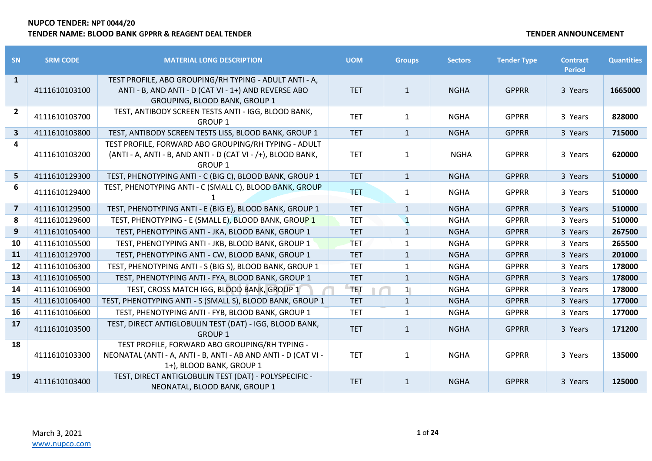| SN                      | <b>SRM CODE</b> | <b>MATERIAL LONG DESCRIPTION</b>                                                                                                                | <b>UOM</b> | <b>Groups</b> | <b>Sectors</b> | <b>Tender Type</b> | <b>Contract</b><br><b>Period</b> | <b>Quantities</b> |
|-------------------------|-----------------|-------------------------------------------------------------------------------------------------------------------------------------------------|------------|---------------|----------------|--------------------|----------------------------------|-------------------|
| $\mathbf{1}$            | 4111610103100   | TEST PROFILE, ABO GROUPING/RH TYPING - ADULT ANTI - A,<br>ANTI - B, AND ANTI - D (CAT VI - 1+) AND REVERSE ABO<br>GROUPING, BLOOD BANK, GROUP 1 | <b>TET</b> | $\mathbf{1}$  | <b>NGHA</b>    | <b>GPPRR</b>       | 3 Years                          | 1665000           |
| $2^{\circ}$             | 4111610103700   | TEST, ANTIBODY SCREEN TESTS ANTI - IGG, BLOOD BANK,<br><b>GROUP 1</b>                                                                           | <b>TET</b> | $\mathbf{1}$  | <b>NGHA</b>    | <b>GPPRR</b>       | 3 Years                          | 828000            |
| $\overline{\mathbf{3}}$ | 4111610103800   | TEST, ANTIBODY SCREEN TESTS LISS, BLOOD BANK, GROUP 1                                                                                           | <b>TET</b> | $\mathbf{1}$  | <b>NGHA</b>    | <b>GPPRR</b>       | 3 Years                          | 715000            |
| 4                       | 4111610103200   | TEST PROFILE, FORWARD ABO GROUPING/RH TYPING - ADULT<br>(ANTI - A, ANTI - B, AND ANTI - D (CAT VI - /+), BLOOD BANK,<br><b>GROUP 1</b>          | <b>TET</b> | $\mathbf{1}$  | <b>NGHA</b>    | <b>GPPRR</b>       | 3 Years                          | 620000            |
| 5                       | 4111610129300   | TEST, PHENOTYPING ANTI - C (BIG C), BLOOD BANK, GROUP 1                                                                                         | <b>TET</b> | $\mathbf{1}$  | <b>NGHA</b>    | <b>GPPRR</b>       | 3 Years                          | 510000            |
| 6                       | 4111610129400   | TEST, PHENOTYPING ANTI - C (SMALL C), BLOOD BANK, GROUP                                                                                         | <b>TET</b> | 1             | <b>NGHA</b>    | <b>GPPRR</b>       | 3 Years                          | 510000            |
| $\overline{7}$          | 4111610129500   | TEST, PHENOTYPING ANTI - E (BIG E), BLOOD BANK, GROUP 1                                                                                         | <b>TET</b> | $\mathbf{1}$  | <b>NGHA</b>    | <b>GPPRR</b>       | 3 Years                          | 510000            |
| 8                       | 4111610129600   | TEST, PHENOTYPING - E (SMALL E), BLOOD BANK, GROUP 1                                                                                            | <b>TET</b> | $\mathbf{1}$  | <b>NGHA</b>    | <b>GPPRR</b>       | 3 Years                          | 510000            |
| 9                       | 4111610105400   | TEST, PHENOTYPING ANTI - JKA, BLOOD BANK, GROUP 1                                                                                               | <b>TET</b> | $\mathbf{1}$  | <b>NGHA</b>    | <b>GPPRR</b>       | 3 Years                          | 267500            |
| 10                      | 4111610105500   | TEST, PHENOTYPING ANTI - JKB, BLOOD BANK, GROUP 1                                                                                               | <b>TET</b> | $\mathbf{1}$  | <b>NGHA</b>    | <b>GPPRR</b>       | 3 Years                          | 265500            |
| 11                      | 4111610129700   | TEST, PHENOTYPING ANTI - CW, BLOOD BANK, GROUP 1                                                                                                | <b>TET</b> | $\mathbf{1}$  | <b>NGHA</b>    | <b>GPPRR</b>       | 3 Years                          | 201000            |
| 12                      | 4111610106300   | TEST, PHENOTYPING ANTI - S (BIG S), BLOOD BANK, GROUP 1                                                                                         | <b>TET</b> | $\mathbf{1}$  | <b>NGHA</b>    | <b>GPPRR</b>       | 3 Years                          | 178000            |
| 13                      | 4111610106500   | TEST, PHENOTYPING ANTI - FYA, BLOOD BANK, GROUP 1                                                                                               | <b>TET</b> | $\mathbf{1}$  | <b>NGHA</b>    | <b>GPPRR</b>       | 3 Years                          | 178000            |
| 14                      | 4111610106900   | TEST, CROSS MATCH IGG, BLOOD BANK, GROUP 1                                                                                                      | <b>TET</b> | 1             | <b>NGHA</b>    | <b>GPPRR</b>       | 3 Years                          | 178000            |
| 15                      | 4111610106400   | TEST, PHENOTYPING ANTI - S (SMALL S), BLOOD BANK, GROUP 1                                                                                       | <b>TET</b> | $\mathbf{1}$  | <b>NGHA</b>    | <b>GPPRR</b>       | 3 Years                          | 177000            |
| 16                      | 4111610106600   | TEST, PHENOTYPING ANTI - FYB, BLOOD BANK, GROUP 1                                                                                               | <b>TET</b> | 1             | <b>NGHA</b>    | <b>GPPRR</b>       | 3 Years                          | 177000            |
| 17                      | 4111610103500   | TEST, DIRECT ANTIGLOBULIN TEST (DAT) - IGG, BLOOD BANK,<br><b>GROUP 1</b>                                                                       | <b>TET</b> | $\mathbf{1}$  | <b>NGHA</b>    | <b>GPPRR</b>       | 3 Years                          | 171200            |
| 18                      | 4111610103300   | TEST PROFILE, FORWARD ABO GROUPING/RH TYPING -<br>NEONATAL (ANTI - A, ANTI - B, ANTI - AB AND ANTI - D (CAT VI -<br>1+), BLOOD BANK, GROUP 1    | <b>TET</b> | $\mathbf{1}$  | <b>NGHA</b>    | <b>GPPRR</b>       | 3 Years                          | 135000            |
| 19                      | 4111610103400   | TEST, DIRECT ANTIGLOBULIN TEST (DAT) - POLYSPECIFIC -<br>NEONATAL, BLOOD BANK, GROUP 1                                                          | <b>TET</b> | $\mathbf{1}$  | <b>NGHA</b>    | <b>GPPRR</b>       | 3 Years                          | 125000            |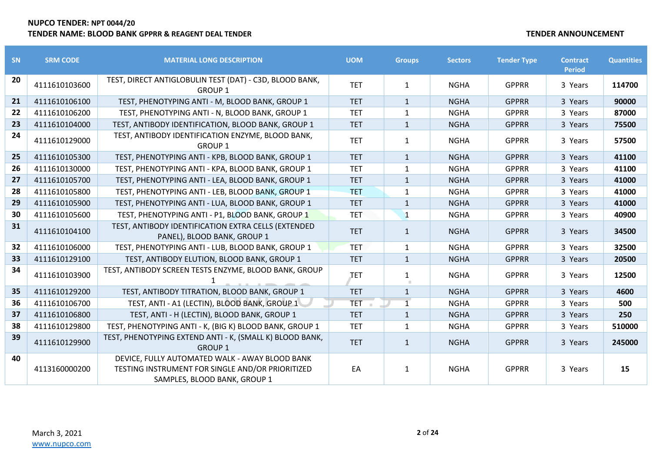| <b>SN</b> | <b>SRM CODE</b> | <b>MATERIAL LONG DESCRIPTION</b>                                                                                                   | <b>UOM</b> | <b>Groups</b>  | <b>Sectors</b> | <b>Tender Type</b> | <b>Contract</b><br><b>Period</b> | <b>Quantities</b> |
|-----------|-----------------|------------------------------------------------------------------------------------------------------------------------------------|------------|----------------|----------------|--------------------|----------------------------------|-------------------|
| 20        | 4111610103600   | TEST, DIRECT ANTIGLOBULIN TEST (DAT) - C3D, BLOOD BANK,<br><b>GROUP 1</b>                                                          | <b>TET</b> | $\mathbf{1}$   | <b>NGHA</b>    | <b>GPPRR</b>       | 3 Years                          | 114700            |
| 21        | 4111610106100   | TEST, PHENOTYPING ANTI - M, BLOOD BANK, GROUP 1                                                                                    | <b>TET</b> | $\mathbf{1}$   | <b>NGHA</b>    | <b>GPPRR</b>       | 3 Years                          | 90000             |
| 22        | 4111610106200   | TEST, PHENOTYPING ANTI - N, BLOOD BANK, GROUP 1                                                                                    | <b>TET</b> | $\mathbf{1}$   | <b>NGHA</b>    | <b>GPPRR</b>       | 3 Years                          | 87000             |
| 23        | 4111610104000   | TEST, ANTIBODY IDENTIFICATION, BLOOD BANK, GROUP 1                                                                                 | <b>TET</b> | $\mathbf{1}$   | <b>NGHA</b>    | <b>GPPRR</b>       | 3 Years                          | 75500             |
| 24        | 4111610129000   | TEST, ANTIBODY IDENTIFICATION ENZYME, BLOOD BANK,<br><b>GROUP 1</b>                                                                | <b>TET</b> | $\mathbf{1}$   | <b>NGHA</b>    | <b>GPPRR</b>       | 3 Years                          | 57500             |
| 25        | 4111610105300   | TEST, PHENOTYPING ANTI - KPB, BLOOD BANK, GROUP 1                                                                                  | <b>TET</b> | $\mathbf{1}$   | <b>NGHA</b>    | <b>GPPRR</b>       | 3 Years                          | 41100             |
| 26        | 4111610130000   | TEST, PHENOTYPING ANTI - KPA, BLOOD BANK, GROUP 1                                                                                  | <b>TET</b> | 1              | <b>NGHA</b>    | <b>GPPRR</b>       | 3 Years                          | 41100             |
| 27        | 4111610105700   | TEST, PHENOTYPING ANTI - LEA, BLOOD BANK, GROUP 1                                                                                  | <b>TET</b> | $\mathbf{1}$   | <b>NGHA</b>    | <b>GPPRR</b>       | 3 Years                          | 41000             |
| 28        | 4111610105800   | TEST, PHENOTYPING ANTI - LEB, BLOOD BANK, GROUP 1                                                                                  | <b>TET</b> | $\mathbf{1}$   | <b>NGHA</b>    | <b>GPPRR</b>       | 3 Years                          | 41000             |
| 29        | 4111610105900   | TEST, PHENOTYPING ANTI - LUA, BLOOD BANK, GROUP 1                                                                                  | <b>TET</b> | $\mathbf{1}$   | <b>NGHA</b>    | <b>GPPRR</b>       | 3 Years                          | 41000             |
| 30        | 4111610105600   | TEST, PHENOTYPING ANTI - P1, BLOOD BANK, GROUP 1                                                                                   | <b>TET</b> | $\mathbf{1}$   | <b>NGHA</b>    | <b>GPPRR</b>       | 3 Years                          | 40900             |
| 31        | 4111610104100   | TEST, ANTIBODY IDENTIFICATION EXTRA CELLS (EXTENDED<br>PANEL), BLOOD BANK, GROUP 1                                                 | <b>TET</b> | $\mathbf{1}$   | <b>NGHA</b>    | <b>GPPRR</b>       | 3 Years                          | 34500             |
| 32        | 4111610106000   | TEST, PHENOTYPING ANTI - LUB, BLOOD BANK, GROUP 1                                                                                  | <b>TET</b> | $\mathbf{1}$   | <b>NGHA</b>    | <b>GPPRR</b>       | 3 Years                          | 32500             |
| 33        | 4111610129100   | TEST, ANTIBODY ELUTION, BLOOD BANK, GROUP 1                                                                                        | <b>TET</b> | $\mathbf{1}$   | <b>NGHA</b>    | <b>GPPRR</b>       | 3 Years                          | 20500             |
| 34        | 4111610103900   | TEST, ANTIBODY SCREEN TESTS ENZYME, BLOOD BANK, GROUP                                                                              | <b>TET</b> | 1              | <b>NGHA</b>    | <b>GPPRR</b>       | 3 Years                          | 12500             |
| 35        | 4111610129200   | TEST, ANTIBODY TITRATION, BLOOD BANK, GROUP 1                                                                                      | <b>TET</b> | $\mathbf{1}$   | <b>NGHA</b>    | <b>GPPRR</b>       | 3 Years                          | 4600              |
| 36        | 4111610106700   | TEST, ANTI - A1 (LECTIN), BLOOD BANK, GROUP 1                                                                                      | <b>TET</b> | $\overline{1}$ | <b>NGHA</b>    | <b>GPPRR</b>       | 3 Years                          | 500               |
| 37        | 4111610106800   | TEST, ANTI - H (LECTIN), BLOOD BANK, GROUP 1                                                                                       | <b>TET</b> | $\mathbf{1}$   | <b>NGHA</b>    | <b>GPPRR</b>       | 3 Years                          | 250               |
| 38        | 4111610129800   | TEST, PHENOTYPING ANTI - K, (BIG K) BLOOD BANK, GROUP 1                                                                            | <b>TET</b> | $\mathbf{1}$   | <b>NGHA</b>    | <b>GPPRR</b>       | 3 Years                          | 510000            |
| 39        | 4111610129900   | TEST, PHENOTYPING EXTEND ANTI - K, (SMALL K) BLOOD BANK,<br><b>GROUP 1</b>                                                         | <b>TET</b> | $\mathbf{1}$   | <b>NGHA</b>    | <b>GPPRR</b>       | 3 Years                          | 245000            |
| 40        | 4113160000200   | DEVICE, FULLY AUTOMATED WALK - AWAY BLOOD BANK<br>TESTING INSTRUMENT FOR SINGLE AND/OR PRIORITIZED<br>SAMPLES, BLOOD BANK, GROUP 1 | EA         | $\mathbf{1}$   | <b>NGHA</b>    | <b>GPPRR</b>       | 3 Years                          | 15                |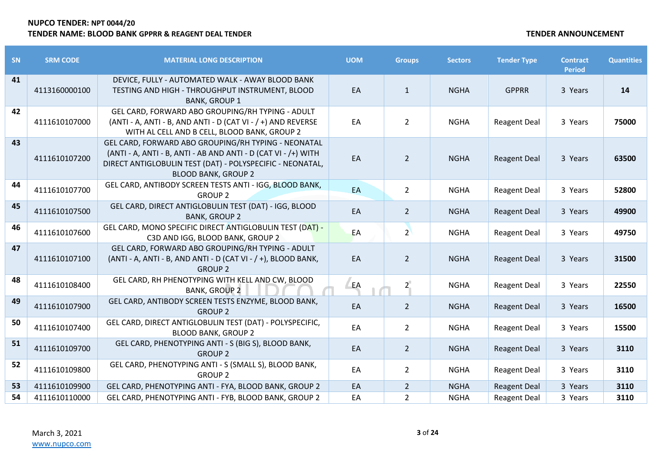| SN | <b>SRM CODE</b> | <b>MATERIAL LONG DESCRIPTION</b>                                                                                                                                                                                 | <b>UOM</b> | <b>Groups</b>  | <b>Sectors</b> | <b>Tender Type</b>  | <b>Contract</b><br><b>Period</b> | <b>Quantities</b> |
|----|-----------------|------------------------------------------------------------------------------------------------------------------------------------------------------------------------------------------------------------------|------------|----------------|----------------|---------------------|----------------------------------|-------------------|
| 41 | 4113160000100   | DEVICE, FULLY - AUTOMATED WALK - AWAY BLOOD BANK<br>TESTING AND HIGH - THROUGHPUT INSTRUMENT, BLOOD<br><b>BANK, GROUP 1</b>                                                                                      | EA         | $\mathbf{1}$   | <b>NGHA</b>    | <b>GPPRR</b>        | 3 Years                          | 14                |
| 42 | 4111610107000   | GEL CARD, FORWARD ABO GROUPING/RH TYPING - ADULT<br>(ANTI - A, ANTI - B, AND ANTI - D (CAT VI - / +) AND REVERSE<br>WITH AL CELL AND B CELL, BLOOD BANK, GROUP 2                                                 | EA         | $\overline{2}$ | <b>NGHA</b>    | <b>Reagent Deal</b> | 3 Years                          | 75000             |
| 43 | 4111610107200   | GEL CARD, FORWARD ABO GROUPING/RH TYPING - NEONATAL<br>(ANTI - A, ANTI - B, ANTI - AB AND ANTI - D (CAT VI - /+) WITH<br>DIRECT ANTIGLOBULIN TEST (DAT) - POLYSPECIFIC - NEONATAL,<br><b>BLOOD BANK, GROUP 2</b> | EA         | $\overline{2}$ | <b>NGHA</b>    | <b>Reagent Deal</b> | 3 Years                          | 63500             |
| 44 | 4111610107700   | GEL CARD, ANTIBODY SCREEN TESTS ANTI - IGG, BLOOD BANK,<br><b>GROUP 2</b>                                                                                                                                        | EA         | $\overline{2}$ | <b>NGHA</b>    | <b>Reagent Deal</b> | 3 Years                          | 52800             |
| 45 | 4111610107500   | GEL CARD, DIRECT ANTIGLOBULIN TEST (DAT) - IGG, BLOOD<br><b>BANK, GROUP 2</b>                                                                                                                                    | EA         | $\overline{2}$ | <b>NGHA</b>    | <b>Reagent Deal</b> | 3 Years                          | 49900             |
| 46 | 4111610107600   | GEL CARD, MONO SPECIFIC DIRECT ANTIGLOBULIN TEST (DAT) -<br>C3D AND IGG, BLOOD BANK, GROUP 2                                                                                                                     | EA         | $2^{\circ}$    | <b>NGHA</b>    | <b>Reagent Deal</b> | 3 Years                          | 49750             |
| 47 | 4111610107100   | GEL CARD, FORWARD ABO GROUPING/RH TYPING - ADULT<br>(ANTI - A, ANTI - B, AND ANTI - D (CAT VI - / +), BLOOD BANK,<br><b>GROUP 2</b>                                                                              | EA         | $\overline{2}$ | <b>NGHA</b>    | <b>Reagent Deal</b> | 3 Years                          | 31500             |
| 48 | 4111610108400   | GEL CARD, RH PHENOTYPING WITH KELL AND CW, BLOOD<br><b>BANK, GROUP 2</b>                                                                                                                                         | EA         | 2 <sup>1</sup> | <b>NGHA</b>    | <b>Reagent Deal</b> | 3 Years                          | 22550             |
| 49 | 4111610107900   | GEL CARD, ANTIBODY SCREEN TESTS ENZYME, BLOOD BANK,<br><b>GROUP 2</b>                                                                                                                                            | EA         | $\overline{2}$ | <b>NGHA</b>    | <b>Reagent Deal</b> | 3 Years                          | 16500             |
| 50 | 4111610107400   | GEL CARD, DIRECT ANTIGLOBULIN TEST (DAT) - POLYSPECIFIC,<br><b>BLOOD BANK, GROUP 2</b>                                                                                                                           | EA         | $\overline{2}$ | <b>NGHA</b>    | <b>Reagent Deal</b> | 3 Years                          | 15500             |
| 51 | 4111610109700   | GEL CARD, PHENOTYPING ANTI - S (BIG S), BLOOD BANK,<br><b>GROUP 2</b>                                                                                                                                            | EA         | $\overline{2}$ | <b>NGHA</b>    | <b>Reagent Deal</b> | 3 Years                          | 3110              |
| 52 | 4111610109800   | GEL CARD, PHENOTYPING ANTI - S (SMALL S), BLOOD BANK,<br><b>GROUP 2</b>                                                                                                                                          | EA         | $\overline{2}$ | <b>NGHA</b>    | <b>Reagent Deal</b> | 3 Years                          | 3110              |
| 53 | 4111610109900   | GEL CARD, PHENOTYPING ANTI - FYA, BLOOD BANK, GROUP 2                                                                                                                                                            | EA         | $\overline{2}$ | <b>NGHA</b>    | <b>Reagent Deal</b> | 3 Years                          | 3110              |
| 54 | 4111610110000   | GEL CARD, PHENOTYPING ANTI - FYB, BLOOD BANK, GROUP 2                                                                                                                                                            | EA         | $\overline{2}$ | <b>NGHA</b>    | <b>Reagent Deal</b> | 3 Years                          | 3110              |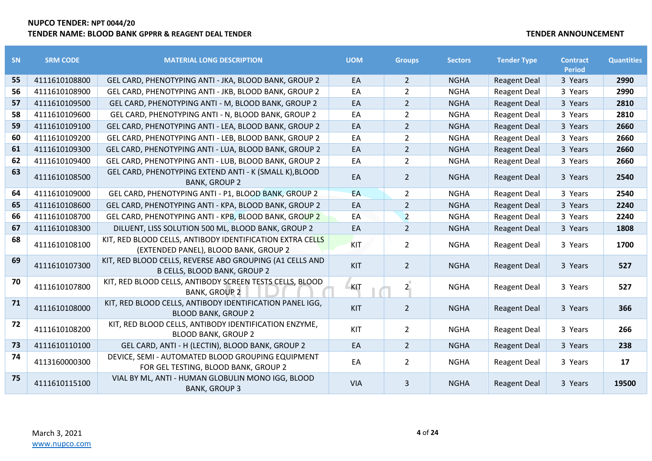| <b>SN</b> | <b>SRM CODE</b> | <b>MATERIAL LONG DESCRIPTION</b>                                                                   | <b>UOM</b> | <b>Groups</b>  | <b>Sectors</b> | <b>Tender Type</b>  | <b>Contract</b><br><b>Period</b> | <b>Quantities</b> |
|-----------|-----------------|----------------------------------------------------------------------------------------------------|------------|----------------|----------------|---------------------|----------------------------------|-------------------|
| 55        | 4111610108800   | GEL CARD, PHENOTYPING ANTI - JKA, BLOOD BANK, GROUP 2                                              | EA         | $\overline{2}$ | <b>NGHA</b>    | <b>Reagent Deal</b> | 3 Years                          | 2990              |
| 56        | 4111610108900   | GEL CARD, PHENOTYPING ANTI - JKB, BLOOD BANK, GROUP 2                                              | EA         | $\overline{2}$ | <b>NGHA</b>    | <b>Reagent Deal</b> | 3 Years                          | 2990              |
| 57        | 4111610109500   | GEL CARD, PHENOTYPING ANTI - M, BLOOD BANK, GROUP 2                                                | EA         | $\overline{2}$ | <b>NGHA</b>    | <b>Reagent Deal</b> | 3 Years                          | 2810              |
| 58        | 4111610109600   | GEL CARD, PHENOTYPING ANTI - N, BLOOD BANK, GROUP 2                                                | EA         | $\overline{2}$ | <b>NGHA</b>    | <b>Reagent Deal</b> | 3 Years                          | 2810              |
| 59        | 4111610109100   | GEL CARD, PHENOTYPING ANTI - LEA, BLOOD BANK, GROUP 2                                              | EA         | $\overline{2}$ | <b>NGHA</b>    | <b>Reagent Deal</b> | 3 Years                          | 2660              |
| 60        | 4111610109200   | GEL CARD, PHENOTYPING ANTI - LEB, BLOOD BANK, GROUP 2                                              | EA         | $\overline{2}$ | <b>NGHA</b>    | <b>Reagent Deal</b> | 3 Years                          | 2660              |
| 61        | 4111610109300   | GEL CARD, PHENOTYPING ANTI - LUA, BLOOD BANK, GROUP 2                                              | EA         | $\overline{2}$ | <b>NGHA</b>    | <b>Reagent Deal</b> | 3 Years                          | 2660              |
| 62        | 4111610109400   | GEL CARD, PHENOTYPING ANTI - LUB, BLOOD BANK, GROUP 2                                              | EA         | $\overline{2}$ | <b>NGHA</b>    | <b>Reagent Deal</b> | 3 Years                          | 2660              |
| 63        | 4111610108500   | GEL CARD, PHENOTYPING EXTEND ANTI - K (SMALL K), BLOOD<br><b>BANK, GROUP 2</b>                     | EA         | 2 <sup>1</sup> | <b>NGHA</b>    | <b>Reagent Deal</b> | 3 Years                          | 2540              |
| 64        | 4111610109000   | GEL CARD, PHENOTYPING ANTI - P1, BLOOD BANK, GROUP 2                                               | EA         | $\overline{2}$ | <b>NGHA</b>    | <b>Reagent Deal</b> | 3 Years                          | 2540              |
| 65        | 4111610108600   | GEL CARD, PHENOTYPING ANTI - KPA, BLOOD BANK, GROUP 2                                              | EA         | $\overline{2}$ | <b>NGHA</b>    | <b>Reagent Deal</b> | 3 Years                          | 2240              |
| 66        | 4111610108700   | GEL CARD, PHENOTYPING ANTI - KPB, BLOOD BANK, GROUP 2                                              | EA         | $\overline{2}$ | <b>NGHA</b>    | <b>Reagent Deal</b> | 3 Years                          | 2240              |
| 67        | 4111610108300   | DILUENT, LISS SOLUTION 500 ML, BLOOD BANK, GROUP 2                                                 | EA         | $\overline{2}$ | <b>NGHA</b>    | <b>Reagent Deal</b> | 3 Years                          | 1808              |
| 68        | 4111610108100   | KIT, RED BLOOD CELLS, ANTIBODY IDENTIFICATION EXTRA CELLS<br>(EXTENDED PANEL), BLOOD BANK, GROUP 2 | <b>KIT</b> | $\overline{2}$ | <b>NGHA</b>    | <b>Reagent Deal</b> | 3 Years                          | 1700              |
| 69        | 4111610107300   | KIT, RED BLOOD CELLS, REVERSE ABO GROUPING (A1 CELLS AND<br><b>B CELLS, BLOOD BANK, GROUP 2</b>    | <b>KIT</b> | $\overline{2}$ | <b>NGHA</b>    | <b>Reagent Deal</b> | 3 Years                          | 527               |
| 70        | 4111610107800   | KIT, RED BLOOD CELLS, ANTIBODY SCREEN TESTS CELLS, BLOOD<br><b>BANK, GROUP 2</b>                   | KIT        | 2 <sub>1</sub> | <b>NGHA</b>    | <b>Reagent Deal</b> | 3 Years                          | 527               |
| 71        | 4111610108000   | KIT, RED BLOOD CELLS, ANTIBODY IDENTIFICATION PANEL IGG,<br><b>BLOOD BANK, GROUP 2</b>             | KIT        | $\overline{2}$ | <b>NGHA</b>    | <b>Reagent Deal</b> | 3 Years                          | 366               |
| 72        | 4111610108200   | KIT, RED BLOOD CELLS, ANTIBODY IDENTIFICATION ENZYME,<br><b>BLOOD BANK, GROUP 2</b>                | KIT        | $\overline{2}$ | <b>NGHA</b>    | <b>Reagent Deal</b> | 3 Years                          | 266               |
| 73        | 4111610110100   | GEL CARD, ANTI - H (LECTIN), BLOOD BANK, GROUP 2                                                   | EA         | $\overline{2}$ | <b>NGHA</b>    | <b>Reagent Deal</b> | 3 Years                          | 238               |
| 74        | 4113160000300   | DEVICE, SEMI - AUTOMATED BLOOD GROUPING EQUIPMENT<br>FOR GEL TESTING, BLOOD BANK, GROUP 2          | EA         | $\overline{2}$ | <b>NGHA</b>    | <b>Reagent Deal</b> | 3 Years                          | 17                |
| 75        | 4111610115100   | VIAL BY ML, ANTI - HUMAN GLOBULIN MONO IGG, BLOOD<br><b>BANK, GROUP 3</b>                          | <b>VIA</b> | $\overline{3}$ | <b>NGHA</b>    | <b>Reagent Deal</b> | 3 Years                          | 19500             |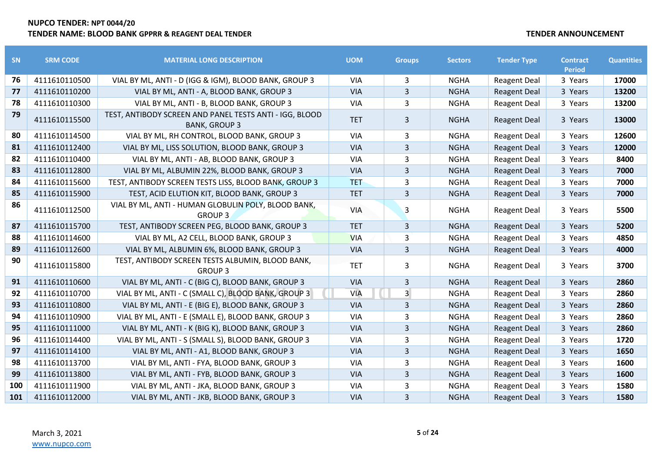| <b>SN</b> | <b>SRM CODE</b> | <b>MATERIAL LONG DESCRIPTION</b>                                                | <b>UOM</b> | <b>Groups</b>  | <b>Sectors</b> | <b>Tender Type</b>  | <b>Contract</b> | <b>Quantities</b> |
|-----------|-----------------|---------------------------------------------------------------------------------|------------|----------------|----------------|---------------------|-----------------|-------------------|
|           |                 |                                                                                 |            |                |                |                     | <b>Period</b>   |                   |
| 76        | 4111610110500   | VIAL BY ML, ANTI - D (IGG & IGM), BLOOD BANK, GROUP 3                           | <b>VIA</b> | 3              | <b>NGHA</b>    | <b>Reagent Deal</b> | 3 Years         | 17000             |
| 77        | 4111610110200   | VIAL BY ML, ANTI - A, BLOOD BANK, GROUP 3                                       | <b>VIA</b> | $\overline{3}$ | <b>NGHA</b>    | <b>Reagent Deal</b> | 3 Years         | 13200             |
| 78        | 4111610110300   | VIAL BY ML, ANTI - B, BLOOD BANK, GROUP 3                                       | <b>VIA</b> | 3              | <b>NGHA</b>    | <b>Reagent Deal</b> | 3 Years         | 13200             |
| 79        | 4111610115500   | TEST, ANTIBODY SCREEN AND PANEL TESTS ANTI - IGG, BLOOD<br><b>BANK, GROUP 3</b> | <b>TET</b> | $\overline{3}$ | <b>NGHA</b>    | <b>Reagent Deal</b> | 3 Years         | 13000             |
| 80        | 4111610114500   | VIAL BY ML, RH CONTROL, BLOOD BANK, GROUP 3                                     | <b>VIA</b> | 3              | <b>NGHA</b>    | <b>Reagent Deal</b> | 3 Years         | 12600             |
| 81        | 4111610112400   | VIAL BY ML, LISS SOLUTION, BLOOD BANK, GROUP 3                                  | <b>VIA</b> | 3              | <b>NGHA</b>    | <b>Reagent Deal</b> | 3 Years         | 12000             |
| 82        | 4111610110400   | VIAL BY ML, ANTI - AB, BLOOD BANK, GROUP 3                                      | <b>VIA</b> | 3              | <b>NGHA</b>    | <b>Reagent Deal</b> | 3 Years         | 8400              |
| 83        | 4111610112800   | VIAL BY ML, ALBUMIN 22%, BLOOD BANK, GROUP 3                                    | <b>VIA</b> | 3              | <b>NGHA</b>    | <b>Reagent Deal</b> | 3 Years         | 7000              |
| 84        | 4111610115600   | TEST, ANTIBODY SCREEN TESTS LISS, BLOOD BANK, GROUP 3                           | <b>TET</b> | 3              | <b>NGHA</b>    | <b>Reagent Deal</b> | 3 Years         | 7000              |
| 85        | 4111610115900   | TEST, ACID ELUTION KIT, BLOOD BANK, GROUP 3                                     | <b>TET</b> | $\overline{3}$ | <b>NGHA</b>    | <b>Reagent Deal</b> | 3 Years         | 7000              |
| 86        | 4111610112500   | VIAL BY ML, ANTI - HUMAN GLOBULIN POLY, BLOOD BANK,<br><b>GROUP 3</b>           | VIA        | 3              | <b>NGHA</b>    | <b>Reagent Deal</b> | 3 Years         | 5500              |
| 87        | 4111610115700   | TEST, ANTIBODY SCREEN PEG, BLOOD BANK, GROUP 3                                  | <b>TET</b> | 3              | <b>NGHA</b>    | <b>Reagent Deal</b> | 3 Years         | 5200              |
| 88        | 4111610114600   | VIAL BY ML, A2 CELL, BLOOD BANK, GROUP 3                                        | <b>VIA</b> | 3              | <b>NGHA</b>    | <b>Reagent Deal</b> | 3 Years         | 4850              |
| 89        | 4111610112600   | VIAL BY ML, ALBUMIN 6%, BLOOD BANK, GROUP 3                                     | <b>VIA</b> | $\overline{3}$ | <b>NGHA</b>    | <b>Reagent Deal</b> | 3 Years         | 4000              |
| 90        | 4111610115800   | TEST, ANTIBODY SCREEN TESTS ALBUMIN, BLOOD BANK,<br><b>GROUP 3</b>              | <b>TET</b> | 3              | <b>NGHA</b>    | <b>Reagent Deal</b> | 3 Years         | 3700              |
| 91        | 4111610110600   | VIAL BY ML, ANTI - C (BIG C), BLOOD BANK, GROUP 3                               | <b>VIA</b> | 3              | <b>NGHA</b>    | <b>Reagent Deal</b> | 3 Years         | 2860              |
| 92        | 4111610110700   | VIAL BY ML, ANTI - C (SMALL C), BLOOD BANK, GROUP 3                             | <b>VIA</b> | $\overline{3}$ | <b>NGHA</b>    | <b>Reagent Deal</b> | 3 Years         | 2860              |
| 93        | 4111610110800   | VIAL BY ML, ANTI - E (BIG E), BLOOD BANK, GROUP 3                               | <b>VIA</b> | 3              | <b>NGHA</b>    | <b>Reagent Deal</b> | 3 Years         | 2860              |
| 94        | 4111610110900   | VIAL BY ML, ANTI - E (SMALL E), BLOOD BANK, GROUP 3                             | <b>VIA</b> | 3              | <b>NGHA</b>    | <b>Reagent Deal</b> | 3 Years         | 2860              |
| 95        | 4111610111000   | VIAL BY ML, ANTI - K (BIG K), BLOOD BANK, GROUP 3                               | <b>VIA</b> | 3              | <b>NGHA</b>    | <b>Reagent Deal</b> | 3 Years         | 2860              |
| 96        | 4111610114400   | VIAL BY ML, ANTI - S (SMALL S), BLOOD BANK, GROUP 3                             | <b>VIA</b> | 3              | <b>NGHA</b>    | <b>Reagent Deal</b> | 3 Years         | 1720              |
| 97        | 4111610114100   | VIAL BY ML, ANTI - A1, BLOOD BANK, GROUP 3                                      | <b>VIA</b> | 3              | <b>NGHA</b>    | <b>Reagent Deal</b> | 3 Years         | 1650              |
| 98        | 4111610113700   | VIAL BY ML, ANTI - FYA, BLOOD BANK, GROUP 3                                     | <b>VIA</b> | 3              | <b>NGHA</b>    | <b>Reagent Deal</b> | 3 Years         | 1600              |
| 99        | 4111610113800   | VIAL BY ML, ANTI - FYB, BLOOD BANK, GROUP 3                                     | <b>VIA</b> | 3              | <b>NGHA</b>    | <b>Reagent Deal</b> | 3 Years         | 1600              |
| 100       | 4111610111900   | VIAL BY ML, ANTI - JKA, BLOOD BANK, GROUP 3                                     | <b>VIA</b> | 3              | <b>NGHA</b>    | <b>Reagent Deal</b> | 3 Years         | 1580              |
| 101       | 4111610112000   | VIAL BY ML, ANTI - JKB, BLOOD BANK, GROUP 3                                     | <b>VIA</b> | $\overline{3}$ | <b>NGHA</b>    | <b>Reagent Deal</b> | 3 Years         | 1580              |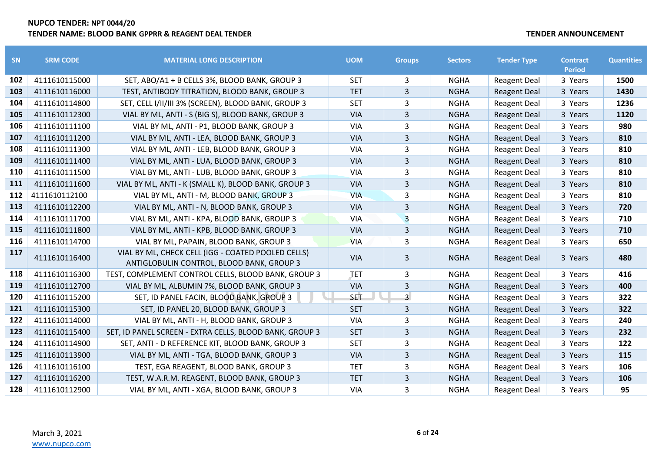| SN  | <b>SRM CODE</b> | <b>MATERIAL LONG DESCRIPTION</b>                                                                | <b>UOM</b> | <b>Groups</b>           | <b>Sectors</b> | <b>Tender Type</b>  | <b>Contract</b><br><b>Period</b> | <b>Quantities</b> |
|-----|-----------------|-------------------------------------------------------------------------------------------------|------------|-------------------------|----------------|---------------------|----------------------------------|-------------------|
| 102 | 4111610115000   | SET, ABO/A1 + B CELLS 3%, BLOOD BANK, GROUP 3                                                   | <b>SET</b> | 3                       | <b>NGHA</b>    | <b>Reagent Deal</b> | 3 Years                          | 1500              |
| 103 | 4111610116000   | TEST, ANTIBODY TITRATION, BLOOD BANK, GROUP 3                                                   | <b>TET</b> | $\overline{3}$          | <b>NGHA</b>    | <b>Reagent Deal</b> | 3 Years                          | 1430              |
| 104 | 4111610114800   | SET, CELL I/II/III 3% (SCREEN), BLOOD BANK, GROUP 3                                             | <b>SET</b> | 3                       | <b>NGHA</b>    | <b>Reagent Deal</b> | 3 Years                          | 1236              |
| 105 | 4111610112300   | VIAL BY ML, ANTI - S (BIG S), BLOOD BANK, GROUP 3                                               | <b>VIA</b> | 3                       | <b>NGHA</b>    | <b>Reagent Deal</b> | 3 Years                          | 1120              |
| 106 | 4111610111100   | VIAL BY ML, ANTI - P1, BLOOD BANK, GROUP 3                                                      | <b>VIA</b> | 3                       | <b>NGHA</b>    | <b>Reagent Deal</b> | 3 Years                          | 980               |
| 107 | 4111610111200   | VIAL BY ML, ANTI - LEA, BLOOD BANK, GROUP 3                                                     | <b>VIA</b> | 3                       | <b>NGHA</b>    | <b>Reagent Deal</b> | 3 Years                          | 810               |
| 108 | 4111610111300   | VIAL BY ML, ANTI - LEB, BLOOD BANK, GROUP 3                                                     | VIA        | 3                       | <b>NGHA</b>    | <b>Reagent Deal</b> | 3 Years                          | 810               |
| 109 | 4111610111400   | VIAL BY ML, ANTI - LUA, BLOOD BANK, GROUP 3                                                     | <b>VIA</b> | 3                       | <b>NGHA</b>    | <b>Reagent Deal</b> | 3 Years                          | 810               |
| 110 | 4111610111500   | VIAL BY ML, ANTI - LUB, BLOOD BANK, GROUP 3                                                     | VIA        | 3                       | <b>NGHA</b>    | <b>Reagent Deal</b> | 3 Years                          | 810               |
| 111 | 4111610111600   | VIAL BY ML, ANTI - K (SMALL K), BLOOD BANK, GROUP 3                                             | <b>VIA</b> | $\overline{3}$          | <b>NGHA</b>    | <b>Reagent Deal</b> | 3 Years                          | 810               |
| 112 | 4111610112100   | VIAL BY ML, ANTI - M, BLOOD BANK, GROUP 3                                                       | <b>VIA</b> | 3                       | <b>NGHA</b>    | <b>Reagent Deal</b> | 3 Years                          | 810               |
| 113 | 4111610112200   | VIAL BY ML, ANTI - N, BLOOD BANK, GROUP 3                                                       | <b>VIA</b> | 3                       | <b>NGHA</b>    | <b>Reagent Deal</b> | 3 Years                          | 720               |
| 114 | 4111610111700   | VIAL BY ML, ANTI - KPA, BLOOD BANK, GROUP 3                                                     | VIA        | $\overline{\mathbf{3}}$ | <b>NGHA</b>    | <b>Reagent Deal</b> | 3 Years                          | 710               |
| 115 | 4111610111800   | VIAL BY ML, ANTI - KPB, BLOOD BANK, GROUP 3                                                     | <b>VIA</b> | 3                       | <b>NGHA</b>    | <b>Reagent Deal</b> | 3 Years                          | 710               |
| 116 | 4111610114700   | VIAL BY ML, PAPAIN, BLOOD BANK, GROUP 3                                                         | <b>VIA</b> | 3                       | <b>NGHA</b>    | <b>Reagent Deal</b> | 3 Years                          | 650               |
| 117 | 4111610116400   | VIAL BY ML, CHECK CELL (IGG - COATED POOLED CELLS)<br>ANTIGLOBULIN CONTROL, BLOOD BANK, GROUP 3 | <b>VIA</b> | 3                       | <b>NGHA</b>    | <b>Reagent Deal</b> | 3 Years                          | 480               |
| 118 | 4111610116300   | TEST, COMPLEMENT CONTROL CELLS, BLOOD BANK, GROUP 3                                             | <b>JET</b> | 3                       | <b>NGHA</b>    | <b>Reagent Deal</b> | 3 Years                          | 416               |
| 119 | 4111610112700   | VIAL BY ML, ALBUMIN 7%, BLOOD BANK, GROUP 3                                                     | <b>VIA</b> | 3                       | <b>NGHA</b>    | <b>Reagent Deal</b> | 3 Years                          | 400               |
| 120 | 4111610115200   | SET, ID PANEL FACIN, BLOOD BANK, GROUP 3                                                        | <b>SET</b> | $\overline{3}$          | <b>NGHA</b>    | <b>Reagent Deal</b> | 3 Years                          | 322               |
| 121 | 4111610115300   | SET, ID PANEL 20, BLOOD BANK, GROUP 3                                                           | <b>SET</b> | 3                       | <b>NGHA</b>    | <b>Reagent Deal</b> | 3 Years                          | 322               |
| 122 | 4111610114000   | VIAL BY ML, ANTI - H, BLOOD BANK, GROUP 3                                                       | <b>VIA</b> | 3                       | <b>NGHA</b>    | <b>Reagent Deal</b> | 3 Years                          | 240               |
| 123 | 4111610115400   | SET, ID PANEL SCREEN - EXTRA CELLS, BLOOD BANK, GROUP 3                                         | <b>SET</b> | 3                       | <b>NGHA</b>    | <b>Reagent Deal</b> | 3 Years                          | 232               |
| 124 | 4111610114900   | SET, ANTI - D REFERENCE KIT, BLOOD BANK, GROUP 3                                                | <b>SET</b> | 3                       | <b>NGHA</b>    | <b>Reagent Deal</b> | 3 Years                          | 122               |
| 125 | 4111610113900   | VIAL BY ML, ANTI - TGA, BLOOD BANK, GROUP 3                                                     | <b>VIA</b> | 3                       | <b>NGHA</b>    | <b>Reagent Deal</b> | 3 Years                          | 115               |
| 126 | 4111610116100   | TEST, EGA REAGENT, BLOOD BANK, GROUP 3                                                          | <b>TET</b> | 3                       | <b>NGHA</b>    | <b>Reagent Deal</b> | 3 Years                          | 106               |
| 127 | 4111610116200   | TEST, W.A.R.M. REAGENT, BLOOD BANK, GROUP 3                                                     | <b>TET</b> | 3                       | <b>NGHA</b>    | <b>Reagent Deal</b> | 3 Years                          | 106               |
| 128 | 4111610112900   | VIAL BY ML, ANTI - XGA, BLOOD BANK, GROUP 3                                                     | <b>VIA</b> | 3                       | <b>NGHA</b>    | <b>Reagent Deal</b> | 3 Years                          | 95                |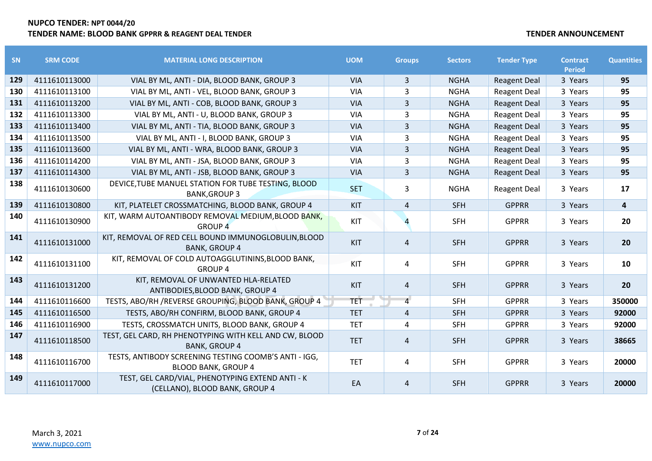| SN  | <b>SRM CODE</b> | <b>MATERIAL LONG DESCRIPTION</b>                                                    | <b>UOM</b> | <b>Groups</b>  | <b>Sectors</b> | <b>Tender Type</b>  | <b>Contract</b><br><b>Period</b> | <b>Quantities</b> |
|-----|-----------------|-------------------------------------------------------------------------------------|------------|----------------|----------------|---------------------|----------------------------------|-------------------|
| 129 | 4111610113000   | VIAL BY ML, ANTI - DIA, BLOOD BANK, GROUP 3                                         | <b>VIA</b> | 3              | <b>NGHA</b>    | <b>Reagent Deal</b> | 3 Years                          | 95                |
| 130 | 4111610113100   | VIAL BY ML, ANTI - VEL, BLOOD BANK, GROUP 3                                         | <b>VIA</b> | 3              | <b>NGHA</b>    | <b>Reagent Deal</b> | 3 Years                          | 95                |
| 131 | 4111610113200   | VIAL BY ML, ANTI - COB, BLOOD BANK, GROUP 3                                         | <b>VIA</b> | 3              | <b>NGHA</b>    | <b>Reagent Deal</b> | 3 Years                          | 95                |
| 132 | 4111610113300   | VIAL BY ML, ANTI - U, BLOOD BANK, GROUP 3                                           | VIA        | 3              | <b>NGHA</b>    | <b>Reagent Deal</b> | 3 Years                          | 95                |
| 133 | 4111610113400   | VIAL BY ML, ANTI - TIA, BLOOD BANK, GROUP 3                                         | <b>VIA</b> | 3              | <b>NGHA</b>    | <b>Reagent Deal</b> | 3 Years                          | 95                |
| 134 | 4111610113500   | VIAL BY ML, ANTI - I, BLOOD BANK, GROUP 3                                           | <b>VIA</b> | 3              | <b>NGHA</b>    | <b>Reagent Deal</b> | 3 Years                          | 95                |
| 135 | 4111610113600   | VIAL BY ML, ANTI - WRA, BLOOD BANK, GROUP 3                                         | <b>VIA</b> | 3              | <b>NGHA</b>    | <b>Reagent Deal</b> | 3 Years                          | 95                |
| 136 | 4111610114200   | VIAL BY ML, ANTI - JSA, BLOOD BANK, GROUP 3                                         | <b>VIA</b> | 3              | <b>NGHA</b>    | <b>Reagent Deal</b> | 3 Years                          | 95                |
| 137 | 4111610114300   | VIAL BY ML, ANTI - JSB, BLOOD BANK, GROUP 3                                         | <b>VIA</b> | 3              | <b>NGHA</b>    | <b>Reagent Deal</b> | 3 Years                          | 95                |
| 138 | 4111610130600   | DEVICE, TUBE MANUEL STATION FOR TUBE TESTING, BLOOD<br><b>BANK, GROUP 3</b>         | <b>SET</b> | 3              | <b>NGHA</b>    | <b>Reagent Deal</b> | 3 Years                          | 17                |
| 139 | 4111610130800   | KIT, PLATELET CROSSMATCHING, BLOOD BANK, GROUP 4                                    | KIT        | 4              | <b>SFH</b>     | <b>GPPRR</b>        | 3 Years                          | 4                 |
| 140 | 4111610130900   | KIT, WARM AUTOANTIBODY REMOVAL MEDIUM, BLOOD BANK,<br><b>GROUP 4</b>                | KIT        |                | <b>SFH</b>     | <b>GPPRR</b>        | 3 Years                          | 20                |
| 141 | 4111610131000   | KIT, REMOVAL OF RED CELL BOUND IMMUNOGLOBULIN, BLOOD<br><b>BANK, GROUP 4</b>        | <b>KIT</b> | $\overline{a}$ | <b>SFH</b>     | <b>GPPRR</b>        | 3 Years                          | 20                |
| 142 | 4111610131100   | KIT, REMOVAL OF COLD AUTOAGGLUTININS, BLOOD BANK,<br><b>GROUP 4</b>                 | KIT        | 4              | <b>SFH</b>     | <b>GPPRR</b>        | 3 Years                          | 10                |
| 143 | 4111610131200   | KIT, REMOVAL OF UNWANTED HLA-RELATED<br>ANTIBODIES, BLOOD BANK, GROUP 4             | KIT        | 4              | <b>SFH</b>     | <b>GPPRR</b>        | 3 Years                          | 20                |
| 144 | 4111610116600   | TESTS, ABO/RH /REVERSE GROUPING, BLOOD BANK, GROUP 4                                | <b>TET</b> | $\overline{4}$ | <b>SFH</b>     | <b>GPPRR</b>        | 3 Years                          | 350000            |
| 145 | 4111610116500   | TESTS, ABO/RH CONFIRM, BLOOD BANK, GROUP 4                                          | <b>TET</b> | 4              | <b>SFH</b>     | <b>GPPRR</b>        | 3 Years                          | 92000             |
| 146 | 4111610116900   | TESTS, CROSSMATCH UNITS, BLOOD BANK, GROUP 4                                        | <b>TET</b> | 4              | <b>SFH</b>     | <b>GPPRR</b>        | 3 Years                          | 92000             |
| 147 | 4111610118500   | TEST, GEL CARD, RH PHENOTYPING WITH KELL AND CW, BLOOD<br><b>BANK, GROUP 4</b>      | <b>TET</b> | 4              | <b>SFH</b>     | <b>GPPRR</b>        | 3 Years                          | 38665             |
| 148 | 4111610116700   | TESTS, ANTIBODY SCREENING TESTING COOMB'S ANTI - IGG,<br><b>BLOOD BANK, GROUP 4</b> | <b>TET</b> | 4              | <b>SFH</b>     | <b>GPPRR</b>        | 3 Years                          | 20000             |
| 149 | 4111610117000   | TEST, GEL CARD/VIAL, PHENOTYPING EXTEND ANTI - K<br>(CELLANO), BLOOD BANK, GROUP 4  | EA         | 4              | <b>SFH</b>     | <b>GPPRR</b>        | 3 Years                          | 20000             |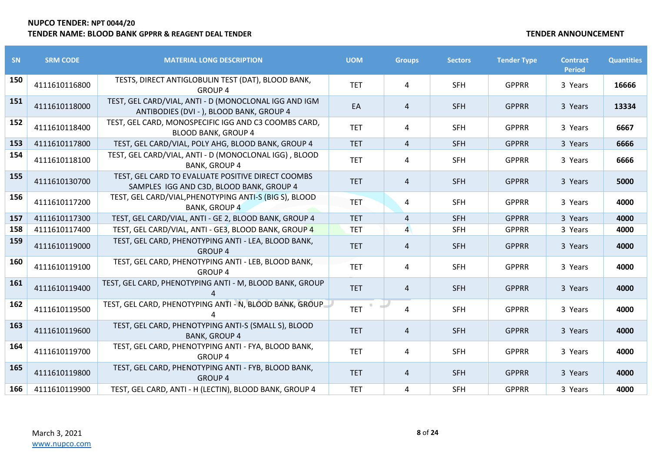| SN  | <b>SRM CODE</b> | <b>MATERIAL LONG DESCRIPTION</b>                                                                  | <b>UOM</b> | <b>Groups</b>  | <b>Sectors</b> | <b>Tender Type</b> | <b>Contract</b><br><b>Period</b> | <b>Quantities</b> |
|-----|-----------------|---------------------------------------------------------------------------------------------------|------------|----------------|----------------|--------------------|----------------------------------|-------------------|
| 150 | 4111610116800   | TESTS, DIRECT ANTIGLOBULIN TEST (DAT), BLOOD BANK,<br><b>GROUP 4</b>                              | <b>TET</b> | 4              | <b>SFH</b>     | <b>GPPRR</b>       | 3 Years                          | 16666             |
| 151 | 4111610118000   | TEST, GEL CARD/VIAL, ANTI - D (MONOCLONAL IGG AND IGM<br>ANTIBODIES (DVI - ), BLOOD BANK, GROUP 4 | EA         | $\overline{4}$ | <b>SFH</b>     | <b>GPPRR</b>       | 3 Years                          | 13334             |
| 152 | 4111610118400   | TEST, GEL CARD, MONOSPECIFIC IGG AND C3 COOMBS CARD,<br><b>BLOOD BANK, GROUP 4</b>                | <b>TET</b> | 4              | <b>SFH</b>     | <b>GPPRR</b>       | 3 Years                          | 6667              |
| 153 | 4111610117800   | TEST, GEL CARD/VIAL, POLY AHG, BLOOD BANK, GROUP 4                                                | <b>TET</b> | $\overline{4}$ | <b>SFH</b>     | <b>GPPRR</b>       | 3 Years                          | 6666              |
| 154 | 4111610118100   | TEST, GEL CARD/VIAL, ANTI - D (MONOCLONAL IGG), BLOOD<br><b>BANK, GROUP 4</b>                     | <b>TET</b> | 4              | <b>SFH</b>     | <b>GPPRR</b>       | 3 Years                          | 6666              |
| 155 | 4111610130700   | TEST, GEL CARD TO EVALUATE POSITIVE DIRECT COOMBS<br>SAMPLES IGG AND C3D, BLOOD BANK, GROUP 4     | <b>TET</b> | 4              | <b>SFH</b>     | <b>GPPRR</b>       | 3 Years                          | 5000              |
| 156 | 4111610117200   | TEST, GEL CARD/VIAL, PHENOTYPING ANTI-S (BIG S), BLOOD<br><b>BANK, GROUP 4</b>                    | <b>TET</b> | 4              | <b>SFH</b>     | <b>GPPRR</b>       | 3 Years                          | 4000              |
| 157 | 4111610117300   | TEST, GEL CARD/VIAL, ANTI - GE 2, BLOOD BANK, GROUP 4                                             | <b>TET</b> | $\overline{4}$ | <b>SFH</b>     | <b>GPPRR</b>       | 3 Years                          | 4000              |
| 158 | 4111610117400   | TEST, GEL CARD/VIAL, ANTI - GE3, BLOOD BANK, GROUP 4                                              | <b>TET</b> | $\overline{4}$ | <b>SFH</b>     | <b>GPPRR</b>       | 3 Years                          | 4000              |
| 159 | 4111610119000   | TEST, GEL CARD, PHENOTYPING ANTI - LEA, BLOOD BANK,<br><b>GROUP 4</b>                             | <b>TET</b> | 4              | <b>SFH</b>     | <b>GPPRR</b>       | 3 Years                          | 4000              |
| 160 | 4111610119100   | TEST, GEL CARD, PHENOTYPING ANTI - LEB, BLOOD BANK,<br><b>GROUP 4</b>                             | <b>TET</b> | 4              | <b>SFH</b>     | <b>GPPRR</b>       | 3 Years                          | 4000              |
| 161 | 4111610119400   | TEST, GEL CARD, PHENOTYPING ANTI - M, BLOOD BANK, GROUP                                           | <b>TET</b> | 4              | <b>SFH</b>     | <b>GPPRR</b>       | 3 Years                          | 4000              |
| 162 | 4111610119500   | TEST, GEL CARD, PHENOTYPING ANTI - N, BLOOD BANK, GROUP                                           | <b>TET</b> | 4              | <b>SFH</b>     | <b>GPPRR</b>       | 3 Years                          | 4000              |
| 163 | 4111610119600   | TEST, GEL CARD, PHENOTYPING ANTI-S (SMALL S), BLOOD<br><b>BANK, GROUP 4</b>                       | <b>TET</b> | 4              | <b>SFH</b>     | <b>GPPRR</b>       | 3 Years                          | 4000              |
| 164 | 4111610119700   | TEST, GEL CARD, PHENOTYPING ANTI - FYA, BLOOD BANK,<br><b>GROUP 4</b>                             | <b>TET</b> | 4              | <b>SFH</b>     | <b>GPPRR</b>       | 3 Years                          | 4000              |
| 165 | 4111610119800   | TEST, GEL CARD, PHENOTYPING ANTI - FYB, BLOOD BANK,<br><b>GROUP 4</b>                             | <b>TET</b> | 4              | <b>SFH</b>     | <b>GPPRR</b>       | 3 Years                          | 4000              |
| 166 | 4111610119900   | TEST, GEL CARD, ANTI - H (LECTIN), BLOOD BANK, GROUP 4                                            | <b>TET</b> | 4              | <b>SFH</b>     | <b>GPPRR</b>       | 3 Years                          | 4000              |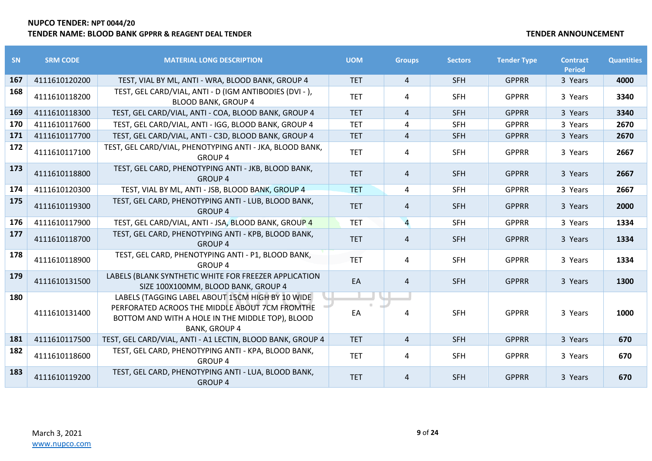| <b>SN</b> | <b>SRM CODE</b> | <b>MATERIAL LONG DESCRIPTION</b>                                                                                                                                               | <b>UOM</b> | <b>Groups</b>  | <b>Sectors</b> | <b>Tender Type</b> | <b>Contract</b><br><b>Period</b> | <b>Quantities</b> |
|-----------|-----------------|--------------------------------------------------------------------------------------------------------------------------------------------------------------------------------|------------|----------------|----------------|--------------------|----------------------------------|-------------------|
| 167       | 4111610120200   | TEST, VIAL BY ML, ANTI - WRA, BLOOD BANK, GROUP 4                                                                                                                              | <b>TET</b> | 4              | <b>SFH</b>     | <b>GPPRR</b>       | 3 Years                          | 4000              |
| 168       | 4111610118200   | TEST, GEL CARD/VIAL, ANTI - D (IGM ANTIBODIES (DVI - ),<br><b>BLOOD BANK, GROUP 4</b>                                                                                          | <b>TET</b> | 4              | <b>SFH</b>     | <b>GPPRR</b>       | 3 Years                          | 3340              |
| 169       | 4111610118300   | TEST, GEL CARD/VIAL, ANTI - COA, BLOOD BANK, GROUP 4                                                                                                                           | <b>TET</b> | 4              | <b>SFH</b>     | <b>GPPRR</b>       | 3 Years                          | 3340              |
| 170       | 4111610117600   | TEST, GEL CARD/VIAL, ANTI - IGG, BLOOD BANK, GROUP 4                                                                                                                           | <b>TET</b> | 4              | <b>SFH</b>     | <b>GPPRR</b>       | 3 Years                          | 2670              |
| 171       | 4111610117700   | TEST, GEL CARD/VIAL, ANTI - C3D, BLOOD BANK, GROUP 4                                                                                                                           | <b>TET</b> | 4              | <b>SFH</b>     | <b>GPPRR</b>       | 3 Years                          | 2670              |
| 172       | 4111610117100   | TEST, GEL CARD/VIAL, PHENOTYPING ANTI - JKA, BLOOD BANK,<br><b>GROUP 4</b>                                                                                                     | <b>TET</b> | 4              | <b>SFH</b>     | <b>GPPRR</b>       | 3 Years                          | 2667              |
| 173       | 4111610118800   | TEST, GEL CARD, PHENOTYPING ANTI - JKB, BLOOD BANK,<br><b>GROUP 4</b>                                                                                                          | <b>TET</b> | 4              | <b>SFH</b>     | <b>GPPRR</b>       | 3 Years                          | 2667              |
| 174       | 4111610120300   | TEST, VIAL BY ML, ANTI - JSB, BLOOD BANK, GROUP 4                                                                                                                              | <b>TET</b> | 4              | <b>SFH</b>     | <b>GPPRR</b>       | 3 Years                          | 2667              |
| 175       | 4111610119300   | TEST, GEL CARD, PHENOTYPING ANTI - LUB, BLOOD BANK,<br><b>GROUP 4</b>                                                                                                          | <b>TET</b> | 4              | <b>SFH</b>     | <b>GPPRR</b>       | 3 Years                          | 2000              |
| 176       | 4111610117900   | TEST, GEL CARD/VIAL, ANTI - JSA, BLOOD BANK, GROUP 4                                                                                                                           | <b>TET</b> | $\overline{4}$ | <b>SFH</b>     | <b>GPPRR</b>       | 3 Years                          | 1334              |
| 177       | 4111610118700   | TEST, GEL CARD, PHENOTYPING ANTI - KPB, BLOOD BANK,<br><b>GROUP 4</b>                                                                                                          | <b>TET</b> | 4              | <b>SFH</b>     | <b>GPPRR</b>       | 3 Years                          | 1334              |
| 178       | 4111610118900   | TEST, GEL CARD, PHENOTYPING ANTI - P1, BLOOD BANK,<br><b>GROUP 4</b>                                                                                                           | <b>TET</b> | 4              | <b>SFH</b>     | <b>GPPRR</b>       | 3 Years                          | 1334              |
| 179       | 4111610131500   | LABELS (BLANK SYNTHETIC WHITE FOR FREEZER APPLICATION<br>SIZE 100X100MM, BLOOD BANK, GROUP 4                                                                                   | EA         | 4              | <b>SFH</b>     | <b>GPPRR</b>       | 3 Years                          | 1300              |
| 180       | 4111610131400   | LABELS (TAGGING LABEL ABOUT 15CM HIGH BY 10 WIDE<br>PERFORATED ACROOS THE MIDDLE ABOUT 7CM FROMTHE<br>BOTTOM AND WITH A HOLE IN THE MIDDLE TOP), BLOOD<br><b>BANK, GROUP 4</b> | EA         | 4              | <b>SFH</b>     | <b>GPPRR</b>       | 3 Years                          | 1000              |
| 181       | 4111610117500   | TEST, GEL CARD/VIAL, ANTI - A1 LECTIN, BLOOD BANK, GROUP 4                                                                                                                     | <b>TET</b> | $\overline{4}$ | <b>SFH</b>     | <b>GPPRR</b>       | 3 Years                          | 670               |
| 182       | 4111610118600   | TEST, GEL CARD, PHENOTYPING ANTI - KPA, BLOOD BANK,<br><b>GROUP 4</b>                                                                                                          | <b>TET</b> | 4              | <b>SFH</b>     | <b>GPPRR</b>       | 3 Years                          | 670               |
| 183       | 4111610119200   | TEST, GEL CARD, PHENOTYPING ANTI - LUA, BLOOD BANK,<br><b>GROUP 4</b>                                                                                                          | <b>TET</b> | 4              | <b>SFH</b>     | <b>GPPRR</b>       | 3 Years                          | 670               |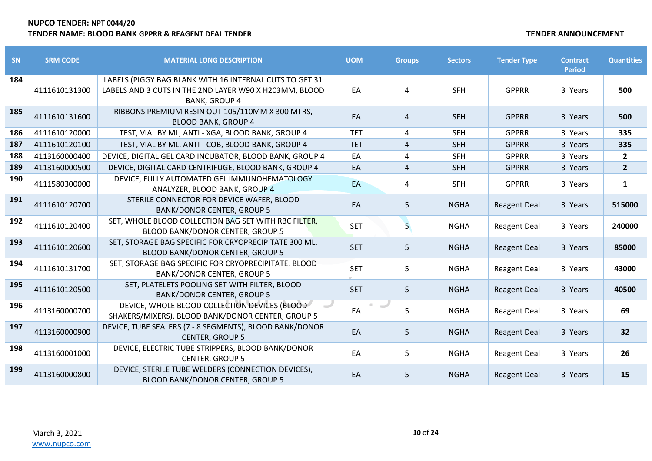| SN  | <b>SRM CODE</b> | <b>MATERIAL LONG DESCRIPTION</b>                                                                                                          | <b>UOM</b> | <b>Groups</b>  | <b>Sectors</b> | <b>Tender Type</b>  | <b>Contract</b><br><b>Period</b> | <b>Quantities</b> |
|-----|-----------------|-------------------------------------------------------------------------------------------------------------------------------------------|------------|----------------|----------------|---------------------|----------------------------------|-------------------|
| 184 | 4111610131300   | LABELS (PIGGY BAG BLANK WITH 16 INTERNAL CUTS TO GET 31<br>LABELS AND 3 CUTS IN THE 2ND LAYER W90 X H203MM, BLOOD<br><b>BANK, GROUP 4</b> | EA         | 4              | <b>SFH</b>     | <b>GPPRR</b>        | 3 Years                          | 500               |
| 185 | 4111610131600   | RIBBONS PREMIUM RESIN OUT 105/110MM X 300 MTRS,<br><b>BLOOD BANK, GROUP 4</b>                                                             | EA         | 4              | <b>SFH</b>     | <b>GPPRR</b>        | 3 Years                          | 500               |
| 186 | 4111610120000   | TEST, VIAL BY ML, ANTI - XGA, BLOOD BANK, GROUP 4                                                                                         | <b>TET</b> | 4              | <b>SFH</b>     | <b>GPPRR</b>        | 3 Years                          | 335               |
| 187 | 4111610120100   | TEST, VIAL BY ML, ANTI - COB, BLOOD BANK, GROUP 4                                                                                         | <b>TET</b> | $\overline{4}$ | SFH            | <b>GPPRR</b>        | 3 Years                          | 335               |
| 188 | 4113160000400   | DEVICE, DIGITAL GEL CARD INCUBATOR, BLOOD BANK, GROUP 4                                                                                   | EA         | 4              | <b>SFH</b>     | <b>GPPRR</b>        | 3 Years                          | $\mathbf{2}$      |
| 189 | 4113160000500   | DEVICE, DIGITAL CARD CENTRIFUGE, BLOOD BANK, GROUP 4                                                                                      | EA         | 4              | <b>SFH</b>     | <b>GPPRR</b>        | 3 Years                          | $\overline{2}$    |
| 190 | 4111580300000   | DEVICE, FULLY AUTOMATED GEL IMMUNOHEMATOLOGY<br>ANALYZER, BLOOD BANK, GROUP 4                                                             | EA         | 4              | <b>SFH</b>     | <b>GPPRR</b>        | 3 Years                          | $\mathbf{1}$      |
| 191 | 4111610120700   | STERILE CONNECTOR FOR DEVICE WAFER, BLOOD<br><b>BANK/DONOR CENTER, GROUP 5</b>                                                            | EA         | 5              | <b>NGHA</b>    | <b>Reagent Deal</b> | 3 Years                          | 515000            |
| 192 | 4111610120400   | SET, WHOLE BLOOD COLLECTION BAG SET WITH RBC FILTER,<br>BLOOD BANK/DONOR CENTER, GROUP 5                                                  | <b>SET</b> | 5.             | <b>NGHA</b>    | <b>Reagent Deal</b> | 3 Years                          | 240000            |
| 193 | 4111610120600   | SET, STORAGE BAG SPECIFIC FOR CRYOPRECIPITATE 300 ML,<br><b>BLOOD BANK/DONOR CENTER, GROUP 5</b>                                          | <b>SET</b> | 5              | <b>NGHA</b>    | <b>Reagent Deal</b> | 3 Years                          | 85000             |
| 194 | 4111610131700   | SET, STORAGE BAG SPECIFIC FOR CRYOPRECIPITATE, BLOOD<br><b>BANK/DONOR CENTER, GROUP 5</b>                                                 | <b>SET</b> | 5              | <b>NGHA</b>    | <b>Reagent Deal</b> | 3 Years                          | 43000             |
| 195 | 4111610120500   | SET, PLATELETS POOLING SET WITH FILTER, BLOOD<br><b>BANK/DONOR CENTER, GROUP 5</b>                                                        | <b>SET</b> | 5              | <b>NGHA</b>    | <b>Reagent Deal</b> | 3 Years                          | 40500             |
| 196 | 4113160000700   | DEVICE, WHOLE BLOOD COLLECTION DEVICES (BLOOD<br>SHAKERS/MIXERS), BLOOD BANK/DONOR CENTER, GROUP 5                                        | EA         | 5              | <b>NGHA</b>    | <b>Reagent Deal</b> | 3 Years                          | 69                |
| 197 | 4113160000900   | DEVICE, TUBE SEALERS (7 - 8 SEGMENTS), BLOOD BANK/DONOR<br><b>CENTER, GROUP 5</b>                                                         | EA         | 5              | <b>NGHA</b>    | <b>Reagent Deal</b> | 3 Years                          | 32                |
| 198 | 4113160001000   | DEVICE, ELECTRIC TUBE STRIPPERS, BLOOD BANK/DONOR<br><b>CENTER, GROUP 5</b>                                                               | EA         | 5              | <b>NGHA</b>    | <b>Reagent Deal</b> | 3 Years                          | 26                |
| 199 | 4113160000800   | DEVICE, STERILE TUBE WELDERS (CONNECTION DEVICES),<br>BLOOD BANK/DONOR CENTER, GROUP 5                                                    | EA         | 5              | <b>NGHA</b>    | <b>Reagent Deal</b> | 3 Years                          | 15                |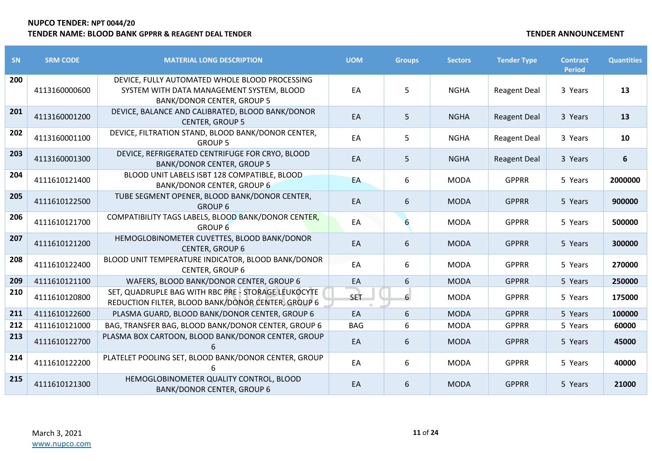| SN  | <b>SRM CODE</b> | <b>MATERIAL LONG DESCRIPTION</b>                                                                                                 | <b>UOM</b> | <b>Groups</b> | <b>Sectors</b> | <b>Tender Type</b>  | <b>Contract</b><br><b>Period</b> | <b>Quantities</b> |
|-----|-----------------|----------------------------------------------------------------------------------------------------------------------------------|------------|---------------|----------------|---------------------|----------------------------------|-------------------|
| 200 | 4113160000600   | DEVICE, FULLY AUTOMATED WHOLE BLOOD PROCESSING<br>SYSTEM WITH DATA MANAGEMENT SYSTEM, BLOOD<br><b>BANK/DONOR CENTER, GROUP 5</b> | EA         | 5             | <b>NGHA</b>    | <b>Reagent Deal</b> | 3 Years                          | 13                |
| 201 | 4113160001200   | DEVICE, BALANCE AND CALIBRATED, BLOOD BANK/DONOR<br><b>CENTER, GROUP 5</b>                                                       | EA         | 5             | <b>NGHA</b>    | <b>Reagent Deal</b> | 3 Years                          | 13                |
| 202 | 4113160001100   | DEVICE, FILTRATION STAND, BLOOD BANK/DONOR CENTER,<br><b>GROUP 5</b>                                                             | EA         | 5             | <b>NGHA</b>    | <b>Reagent Deal</b> | 3 Years                          | 10                |
| 203 | 4113160001300   | DEVICE, REFRIGERATED CENTRIFUGE FOR CRYO, BLOOD<br><b>BANK/DONOR CENTER, GROUP 5</b>                                             | EA         | 5             | <b>NGHA</b>    | <b>Reagent Deal</b> | 3 Years                          | 6                 |
| 204 | 4111610121400   | BLOOD UNIT LABELS ISBT 128 COMPATIBLE, BLOOD<br><b>BANK/DONOR CENTER, GROUP 6</b>                                                | EA         | 6             | <b>MODA</b>    | <b>GPPRR</b>        | 5 Years                          | 2000000           |
| 205 | 4111610122500   | TUBE SEGMENT OPENER, BLOOD BANK/DONOR CENTER,<br><b>GROUP 6</b>                                                                  | EA         | 6             | <b>MODA</b>    | <b>GPPRR</b>        | 5 Years                          | 900000            |
| 206 | 4111610121700   | COMPATIBILITY TAGS LABELS, BLOOD BANK/DONOR CENTER,<br>GROUP <sub>6</sub>                                                        | EA         | 6             | <b>MODA</b>    | <b>GPPRR</b>        | 5 Years                          | 500000            |
| 207 | 4111610121200   | HEMOGLOBINOMETER CUVETTES, BLOOD BANK/DONOR<br><b>CENTER, GROUP 6</b>                                                            | EA         | 6             | <b>MODA</b>    | <b>GPPRR</b>        | 5 Years                          | 300000            |
| 208 | 4111610122400   | BLOOD UNIT TEMPERATURE INDICATOR, BLOOD BANK/DONOR<br><b>CENTER, GROUP 6</b>                                                     | EA         | 6             | <b>MODA</b>    | <b>GPPRR</b>        | 5 Years                          | 270000            |
| 209 | 4111610121100   | WAFERS, BLOOD BANK/DONOR CENTER, GROUP 6                                                                                         | EA         | 6             | <b>MODA</b>    | <b>GPPRR</b>        | 5 Years                          | 250000            |
| 210 | 4111610120800   | SET, QUADRUPLE BAG WITH RBC PRE - STORAGE LEUKOCYTE<br>REDUCTION FILTER, BLOOD BANK/DONOR CENTER, GROUP 6                        | <b>SET</b> | 6             | <b>MODA</b>    | <b>GPPRR</b>        | 5 Years                          | 175000            |
| 211 | 4111610122600   | PLASMA GUARD, BLOOD BANK/DONOR CENTER, GROUP 6                                                                                   | EA         | 6             | <b>MODA</b>    | <b>GPPRR</b>        | 5 Years                          | 100000            |
| 212 | 4111610121000   | BAG, TRANSFER BAG, BLOOD BANK/DONOR CENTER, GROUP 6                                                                              | <b>BAG</b> | 6             | <b>MODA</b>    | <b>GPPRR</b>        | 5 Years                          | 60000             |
| 213 | 4111610122700   | PLASMA BOX CARTOON, BLOOD BANK/DONOR CENTER, GROUP                                                                               | EA         | 6             | <b>MODA</b>    | <b>GPPRR</b>        | 5 Years                          | 45000             |
| 214 | 4111610122200   | PLATELET POOLING SET, BLOOD BANK/DONOR CENTER, GROUP                                                                             | EA         | 6             | <b>MODA</b>    | <b>GPPRR</b>        | 5 Years                          | 40000             |
| 215 | 4111610121300   | HEMOGLOBINOMETER QUALITY CONTROL, BLOOD<br><b>BANK/DONOR CENTER, GROUP 6</b>                                                     | EA         | 6             | <b>MODA</b>    | <b>GPPRR</b>        | 5 Years                          | 21000             |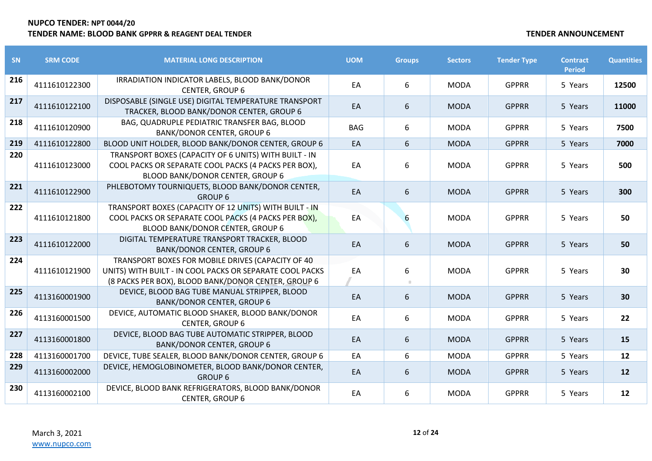| <b>SN</b> | <b>SRM CODE</b> | <b>MATERIAL LONG DESCRIPTION</b>                                                                                                                                     | <b>UOM</b> | <b>Groups</b> | <b>Sectors</b> | <b>Tender Type</b> | <b>Contract</b><br><b>Period</b> | <b>Quantities</b> |
|-----------|-----------------|----------------------------------------------------------------------------------------------------------------------------------------------------------------------|------------|---------------|----------------|--------------------|----------------------------------|-------------------|
| 216       | 4111610122300   | IRRADIATION INDICATOR LABELS, BLOOD BANK/DONOR<br><b>CENTER, GROUP 6</b>                                                                                             | EA         | 6             | <b>MODA</b>    | <b>GPPRR</b>       | 5 Years                          | 12500             |
| 217       | 4111610122100   | DISPOSABLE (SINGLE USE) DIGITAL TEMPERATURE TRANSPORT<br>TRACKER, BLOOD BANK/DONOR CENTER, GROUP 6                                                                   | EA         | 6             | <b>MODA</b>    | <b>GPPRR</b>       | 5 Years                          | 11000             |
| 218       | 4111610120900   | BAG, QUADRUPLE PEDIATRIC TRANSFER BAG, BLOOD<br><b>BANK/DONOR CENTER, GROUP 6</b>                                                                                    | <b>BAG</b> | 6             | <b>MODA</b>    | <b>GPPRR</b>       | 5 Years                          | 7500              |
| 219       | 4111610122800   | BLOOD UNIT HOLDER, BLOOD BANK/DONOR CENTER, GROUP 6                                                                                                                  | EA         | 6             | <b>MODA</b>    | <b>GPPRR</b>       | 5 Years                          | 7000              |
| 220       | 4111610123000   | TRANSPORT BOXES (CAPACITY OF 6 UNITS) WITH BUILT - IN<br>COOL PACKS OR SEPARATE COOL PACKS (4 PACKS PER BOX),<br>BLOOD BANK/DONOR CENTER, GROUP 6                    | EA         | 6             | <b>MODA</b>    | <b>GPPRR</b>       | 5 Years                          | 500               |
| 221       | 4111610122900   | PHLEBOTOMY TOURNIQUETS, BLOOD BANK/DONOR CENTER,<br><b>GROUP 6</b>                                                                                                   | EA         | 6             | <b>MODA</b>    | <b>GPPRR</b>       | 5 Years                          | 300               |
| 222       | 4111610121800   | TRANSPORT BOXES (CAPACITY OF 12 UNITS) WITH BUILT - IN<br>COOL PACKS OR SEPARATE COOL PACKS (4 PACKS PER BOX),<br><b>BLOOD BANK/DONOR CENTER, GROUP 6</b>            | EA         | 6             | <b>MODA</b>    | <b>GPPRR</b>       | 5 Years                          | 50                |
| 223       | 4111610122000   | DIGITAL TEMPERATURE TRANSPORT TRACKER, BLOOD<br><b>BANK/DONOR CENTER, GROUP 6</b>                                                                                    | EA         | 6             | <b>MODA</b>    | <b>GPPRR</b>       | 5 Years                          | 50                |
| 224       | 4111610121900   | TRANSPORT BOXES FOR MOBILE DRIVES (CAPACITY OF 40<br>UNITS) WITH BUILT - IN COOL PACKS OR SEPARATE COOL PACKS<br>(8 PACKS PER BOX), BLOOD BANK/DONOR CENTER, GROUP 6 | EA         | 6             | <b>MODA</b>    | <b>GPPRR</b>       | 5 Years                          | 30                |
| 225       | 4113160001900   | DEVICE, BLOOD BAG TUBE MANUAL STRIPPER, BLOOD<br><b>BANK/DONOR CENTER, GROUP 6</b>                                                                                   | EA         | 6             | <b>MODA</b>    | <b>GPPRR</b>       | 5 Years                          | 30                |
| 226       | 4113160001500   | DEVICE, AUTOMATIC BLOOD SHAKER, BLOOD BANK/DONOR<br>CENTER, GROUP 6                                                                                                  | EA         | 6             | <b>MODA</b>    | <b>GPPRR</b>       | 5 Years                          | 22                |
| 227       | 4113160001800   | DEVICE, BLOOD BAG TUBE AUTOMATIC STRIPPER, BLOOD<br><b>BANK/DONOR CENTER, GROUP 6</b>                                                                                | EA         | 6             | <b>MODA</b>    | <b>GPPRR</b>       | 5 Years                          | 15                |
| 228       | 4113160001700   | DEVICE, TUBE SEALER, BLOOD BANK/DONOR CENTER, GROUP 6                                                                                                                | EA         | 6             | <b>MODA</b>    | <b>GPPRR</b>       | 5 Years                          | 12                |
| 229       | 4113160002000   | DEVICE, HEMOGLOBINOMETER, BLOOD BANK/DONOR CENTER,<br><b>GROUP 6</b>                                                                                                 | EA         | 6             | <b>MODA</b>    | <b>GPPRR</b>       | 5 Years                          | 12                |
| 230       | 4113160002100   | DEVICE, BLOOD BANK REFRIGERATORS, BLOOD BANK/DONOR<br>CENTER, GROUP 6                                                                                                | EA         | 6             | <b>MODA</b>    | <b>GPPRR</b>       | 5 Years                          | 12                |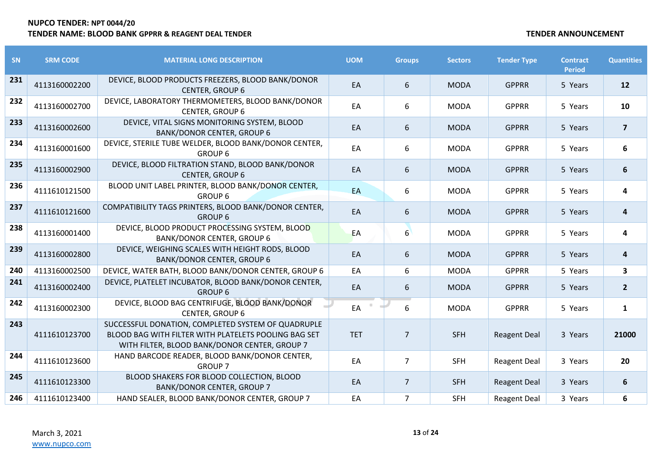| SN  | <b>SRM CODE</b> | <b>MATERIAL LONG DESCRIPTION</b>                                                                                                                            | <b>UOM</b> | <b>Groups</b>  | <b>Sectors</b> | <b>Tender Type</b>  | <b>Contract</b><br><b>Period</b> | <b>Quantities</b>       |
|-----|-----------------|-------------------------------------------------------------------------------------------------------------------------------------------------------------|------------|----------------|----------------|---------------------|----------------------------------|-------------------------|
| 231 | 4113160002200   | DEVICE, BLOOD PRODUCTS FREEZERS, BLOOD BANK/DONOR<br><b>CENTER, GROUP 6</b>                                                                                 | EA         | 6              | <b>MODA</b>    | <b>GPPRR</b>        | 5 Years                          | <b>12</b>               |
| 232 | 4113160002700   | DEVICE, LABORATORY THERMOMETERS, BLOOD BANK/DONOR<br>CENTER, GROUP 6                                                                                        | EA         | 6              | <b>MODA</b>    | <b>GPPRR</b>        | 5 Years                          | 10                      |
| 233 | 4113160002600   | DEVICE, VITAL SIGNS MONITORING SYSTEM, BLOOD<br><b>BANK/DONOR CENTER, GROUP 6</b>                                                                           | EA         | 6              | <b>MODA</b>    | <b>GPPRR</b>        | 5 Years                          | $\overline{\mathbf{z}}$ |
| 234 | 4113160001600   | DEVICE, STERILE TUBE WELDER, BLOOD BANK/DONOR CENTER,<br><b>GROUP 6</b>                                                                                     | EA         | 6              | <b>MODA</b>    | <b>GPPRR</b>        | 5 Years                          | 6                       |
| 235 | 4113160002900   | DEVICE, BLOOD FILTRATION STAND, BLOOD BANK/DONOR<br><b>CENTER, GROUP 6</b>                                                                                  | EA         | 6              | <b>MODA</b>    | <b>GPPRR</b>        | 5 Years                          | 6                       |
| 236 | 4111610121500   | BLOOD UNIT LABEL PRINTER, BLOOD BANK/DONOR CENTER,<br><b>GROUP 6</b>                                                                                        | EA         | 6              | <b>MODA</b>    | <b>GPPRR</b>        | 5 Years                          | 4                       |
| 237 | 4111610121600   | COMPATIBILITY TAGS PRINTERS, BLOOD BANK/DONOR CENTER,<br><b>GROUP 6</b>                                                                                     | EA         | 6              | <b>MODA</b>    | <b>GPPRR</b>        | 5 Years                          | 4                       |
| 238 | 4113160001400   | DEVICE, BLOOD PRODUCT PROCESSING SYSTEM, BLOOD<br><b>BANK/DONOR CENTER, GROUP 6</b>                                                                         | EA         | 6 <sup>1</sup> | <b>MODA</b>    | <b>GPPRR</b>        | 5 Years                          | 4                       |
| 239 | 4113160002800   | DEVICE, WEIGHING SCALES WITH HEIGHT RODS, BLOOD<br><b>BANK/DONOR CENTER, GROUP 6</b>                                                                        | EA         | 6              | <b>MODA</b>    | <b>GPPRR</b>        | 5 Years                          | $\boldsymbol{4}$        |
| 240 | 4113160002500   | DEVICE, WATER BATH, BLOOD BANK/DONOR CENTER, GROUP 6                                                                                                        | EA         | 6              | <b>MODA</b>    | <b>GPPRR</b>        | 5 Years                          | $\overline{\mathbf{3}}$ |
| 241 | 4113160002400   | DEVICE, PLATELET INCUBATOR, BLOOD BANK/DONOR CENTER,<br><b>GROUP 6</b>                                                                                      | EA         | 6              | <b>MODA</b>    | <b>GPPRR</b>        | 5 Years                          | $\overline{2}$          |
| 242 | 4113160002300   | DEVICE, BLOOD BAG CENTRIFUGE, BLOOD BANK/DONOR<br><b>CENTER, GROUP 6</b>                                                                                    | EA         | 6              | <b>MODA</b>    | <b>GPPRR</b>        | 5 Years                          | $\mathbf{1}$            |
| 243 | 4111610123700   | SUCCESSFUL DONATION, COMPLETED SYSTEM OF QUADRUPLE<br>BLOOD BAG WITH FILTER WITH PLATELETS POOLING BAG SET<br>WITH FILTER, BLOOD BANK/DONOR CENTER, GROUP 7 | <b>TET</b> | $\overline{7}$ | <b>SFH</b>     | <b>Reagent Deal</b> | 3 Years                          | 21000                   |
| 244 | 4111610123600   | HAND BARCODE READER, BLOOD BANK/DONOR CENTER,<br><b>GROUP 7</b>                                                                                             | EA         | $\overline{7}$ | <b>SFH</b>     | <b>Reagent Deal</b> | 3 Years                          | 20                      |
| 245 | 4111610123300   | BLOOD SHAKERS FOR BLOOD COLLECTION, BLOOD<br><b>BANK/DONOR CENTER, GROUP 7</b>                                                                              | EA         | $\overline{7}$ | <b>SFH</b>     | <b>Reagent Deal</b> | 3 Years                          | 6                       |
| 246 | 4111610123400   | HAND SEALER, BLOOD BANK/DONOR CENTER, GROUP 7                                                                                                               | EA         | $\overline{7}$ | <b>SFH</b>     | <b>Reagent Deal</b> | 3 Years                          | 6                       |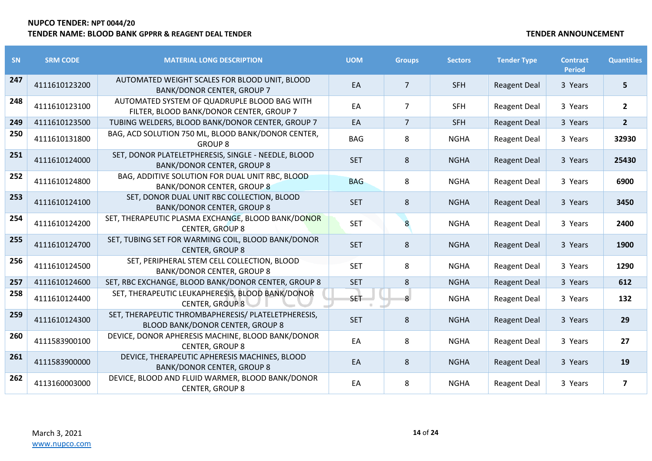| SN  | <b>SRM CODE</b> | <b>MATERIAL LONG DESCRIPTION</b>                                                         | <b>UOM</b> | <b>Groups</b>  | <b>Sectors</b> | <b>Tender Type</b>  | <b>Contract</b><br><b>Period</b> | <b>Quantities</b>       |
|-----|-----------------|------------------------------------------------------------------------------------------|------------|----------------|----------------|---------------------|----------------------------------|-------------------------|
| 247 | 4111610123200   | AUTOMATED WEIGHT SCALES FOR BLOOD UNIT, BLOOD<br><b>BANK/DONOR CENTER, GROUP 7</b>       | EA         | $\overline{7}$ | <b>SFH</b>     | <b>Reagent Deal</b> | 3 Years                          | 5                       |
| 248 | 4111610123100   | AUTOMATED SYSTEM OF QUADRUPLE BLOOD BAG WITH<br>FILTER, BLOOD BANK/DONOR CENTER, GROUP 7 | EA         | $\overline{7}$ | <b>SFH</b>     | <b>Reagent Deal</b> | 3 Years                          | $\overline{2}$          |
| 249 | 4111610123500   | TUBING WELDERS, BLOOD BANK/DONOR CENTER, GROUP 7                                         | EA         | $\overline{7}$ | <b>SFH</b>     | <b>Reagent Deal</b> | 3 Years                          | $\overline{2}$          |
| 250 | 4111610131800   | BAG, ACD SOLUTION 750 ML, BLOOD BANK/DONOR CENTER,<br><b>GROUP 8</b>                     | <b>BAG</b> | 8              | <b>NGHA</b>    | <b>Reagent Deal</b> | 3 Years                          | 32930                   |
| 251 | 4111610124000   | SET, DONOR PLATELETPHERESIS, SINGLE - NEEDLE, BLOOD<br><b>BANK/DONOR CENTER, GROUP 8</b> | <b>SET</b> | 8              | <b>NGHA</b>    | <b>Reagent Deal</b> | 3 Years                          | 25430                   |
| 252 | 4111610124800   | BAG, ADDITIVE SOLUTION FOR DUAL UNIT RBC, BLOOD<br><b>BANK/DONOR CENTER, GROUP 8</b>     | <b>BAG</b> | 8              | <b>NGHA</b>    | <b>Reagent Deal</b> | 3 Years                          | 6900                    |
| 253 | 4111610124100   | SET, DONOR DUAL UNIT RBC COLLECTION, BLOOD<br><b>BANK/DONOR CENTER, GROUP 8</b>          | <b>SET</b> | 8              | <b>NGHA</b>    | <b>Reagent Deal</b> | 3 Years                          | 3450                    |
| 254 | 4111610124200   | SET, THERAPEUTIC PLASMA EXCHANGE, BLOOD BANK/DONOR<br><b>CENTER, GROUP 8</b>             | <b>SET</b> | 8              | <b>NGHA</b>    | <b>Reagent Deal</b> | 3 Years                          | 2400                    |
| 255 | 4111610124700   | SET, TUBING SET FOR WARMING COIL, BLOOD BANK/DONOR<br><b>CENTER, GROUP 8</b>             | <b>SET</b> | 8              | <b>NGHA</b>    | <b>Reagent Deal</b> | 3 Years                          | 1900                    |
| 256 | 4111610124500   | SET, PERIPHERAL STEM CELL COLLECTION, BLOOD<br><b>BANK/DONOR CENTER, GROUP 8</b>         | <b>SET</b> | 8              | <b>NGHA</b>    | <b>Reagent Deal</b> | 3 Years                          | 1290                    |
| 257 | 4111610124600   | SET, RBC EXCHANGE, BLOOD BANK/DONOR CENTER, GROUP 8                                      | <b>SET</b> | 8              | <b>NGHA</b>    | <b>Reagent Deal</b> | 3 Years                          | 612                     |
| 258 | 4111610124400   | SET, THERAPEUTIC LEUKAPHERESIS, BLOOD BANK/DONOR<br><b>CENTER, GROUP 8</b>               | SET        | 8              | <b>NGHA</b>    | <b>Reagent Deal</b> | 3 Years                          | 132                     |
| 259 | 4111610124300   | SET, THERAPEUTIC THROMBAPHERESIS/ PLATELETPHERESIS,<br>BLOOD BANK/DONOR CENTER, GROUP 8  | <b>SET</b> | 8              | <b>NGHA</b>    | <b>Reagent Deal</b> | 3 Years                          | 29                      |
| 260 | 4111583900100   | DEVICE, DONOR APHERESIS MACHINE, BLOOD BANK/DONOR<br><b>CENTER, GROUP 8</b>              | EA         | 8              | <b>NGHA</b>    | <b>Reagent Deal</b> | 3 Years                          | 27                      |
| 261 | 4111583900000   | DEVICE, THERAPEUTIC APHERESIS MACHINES, BLOOD<br><b>BANK/DONOR CENTER, GROUP 8</b>       | EA         | 8              | <b>NGHA</b>    | <b>Reagent Deal</b> | 3 Years                          | 19                      |
| 262 | 4113160003000   | DEVICE, BLOOD AND FLUID WARMER, BLOOD BANK/DONOR<br><b>CENTER, GROUP 8</b>               | EA         | 8              | <b>NGHA</b>    | <b>Reagent Deal</b> | 3 Years                          | $\overline{\mathbf{z}}$ |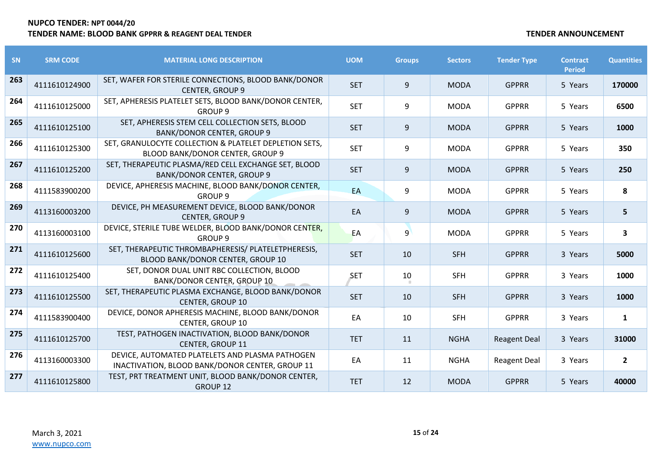| <b>SN</b> | <b>SRM CODE</b> | <b>MATERIAL LONG DESCRIPTION</b>                                                                   | <b>UOM</b> | <b>Groups</b> | <b>Sectors</b> | <b>Tender Type</b>  | <b>Contract</b><br><b>Period</b> | <b>Quantities</b> |
|-----------|-----------------|----------------------------------------------------------------------------------------------------|------------|---------------|----------------|---------------------|----------------------------------|-------------------|
| 263       | 4111610124900   | SET, WAFER FOR STERILE CONNECTIONS, BLOOD BANK/DONOR<br><b>CENTER, GROUP 9</b>                     | <b>SET</b> | 9             | <b>MODA</b>    | <b>GPPRR</b>        | 5 Years                          | 170000            |
| 264       | 4111610125000   | SET, APHERESIS PLATELET SETS, BLOOD BANK/DONOR CENTER,<br><b>GROUP 9</b>                           | <b>SET</b> | 9             | <b>MODA</b>    | <b>GPPRR</b>        | 5 Years                          | 6500              |
| 265       | 4111610125100   | SET, APHERESIS STEM CELL COLLECTION SETS, BLOOD<br><b>BANK/DONOR CENTER, GROUP 9</b>               | <b>SET</b> | 9             | <b>MODA</b>    | <b>GPPRR</b>        | 5 Years                          | 1000              |
| 266       | 4111610125300   | SET, GRANULOCYTE COLLECTION & PLATELET DEPLETION SETS,<br>BLOOD BANK/DONOR CENTER, GROUP 9         | <b>SET</b> | 9             | <b>MODA</b>    | <b>GPPRR</b>        | 5 Years                          | 350               |
| 267       | 4111610125200   | SET, THERAPEUTIC PLASMA/RED CELL EXCHANGE SET, BLOOD<br><b>BANK/DONOR CENTER, GROUP 9</b>          | <b>SET</b> | 9             | <b>MODA</b>    | <b>GPPRR</b>        | 5 Years                          | 250               |
| 268       | 4111583900200   | DEVICE, APHERESIS MACHINE, BLOOD BANK/DONOR CENTER,<br><b>GROUP 9</b>                              | EA         | 9             | <b>MODA</b>    | <b>GPPRR</b>        | 5 Years                          | 8                 |
| 269       | 4113160003200   | DEVICE, PH MEASUREMENT DEVICE, BLOOD BANK/DONOR<br><b>CENTER, GROUP 9</b>                          | EA         | 9             | <b>MODA</b>    | <b>GPPRR</b>        | 5 Years                          | 5                 |
| 270       | 4113160003100   | DEVICE, STERILE TUBE WELDER, BLOOD BANK/DONOR CENTER,<br><b>GROUP 9</b>                            | EA         | 9             | <b>MODA</b>    | <b>GPPRR</b>        | 5 Years                          | 3                 |
| 271       | 4111610125600   | SET, THERAPEUTIC THROMBAPHERESIS/ PLATELETPHERESIS,<br>BLOOD BANK/DONOR CENTER, GROUP 10           | <b>SET</b> | 10            | <b>SFH</b>     | <b>GPPRR</b>        | 3 Years                          | 5000              |
| 272       | 4111610125400   | SET, DONOR DUAL UNIT RBC COLLECTION, BLOOD<br><b>BANK/DONOR CENTER, GROUP 10</b>                   | <b>SET</b> | 10            | <b>SFH</b>     | <b>GPPRR</b>        | 3 Years                          | 1000              |
| 273       | 4111610125500   | SET, THERAPEUTIC PLASMA EXCHANGE, BLOOD BANK/DONOR<br><b>CENTER, GROUP 10</b>                      | <b>SET</b> | 10            | <b>SFH</b>     | <b>GPPRR</b>        | 3 Years                          | 1000              |
| 274       | 4111583900400   | DEVICE, DONOR APHERESIS MACHINE, BLOOD BANK/DONOR<br><b>CENTER, GROUP 10</b>                       | EA         | 10            | <b>SFH</b>     | <b>GPPRR</b>        | 3 Years                          | $\mathbf{1}$      |
| 275       | 4111610125700   | TEST, PATHOGEN INACTIVATION, BLOOD BANK/DONOR<br><b>CENTER, GROUP 11</b>                           | <b>TET</b> | 11            | <b>NGHA</b>    | <b>Reagent Deal</b> | 3 Years                          | 31000             |
| 276       | 4113160003300   | DEVICE, AUTOMATED PLATELETS AND PLASMA PATHOGEN<br>INACTIVATION, BLOOD BANK/DONOR CENTER, GROUP 11 | EA         | 11            | <b>NGHA</b>    | <b>Reagent Deal</b> | 3 Years                          | $\overline{2}$    |
| 277       | 4111610125800   | TEST, PRT TREATMENT UNIT, BLOOD BANK/DONOR CENTER,<br>GROUP 12                                     | <b>TET</b> | 12            | <b>MODA</b>    | <b>GPPRR</b>        | 5 Years                          | 40000             |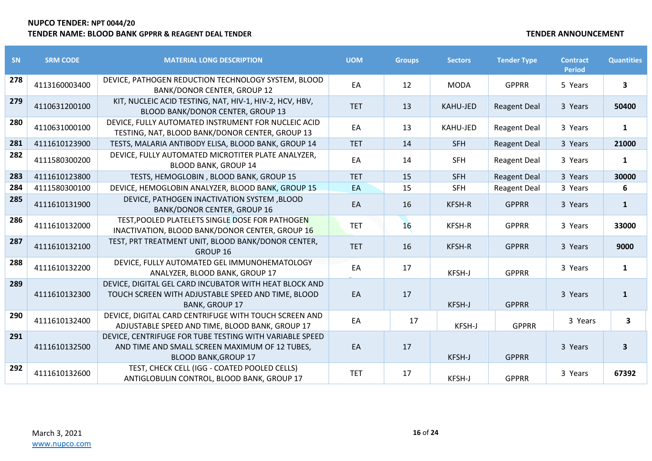| SN  | <b>SRM CODE</b> | <b>MATERIAL LONG DESCRIPTION</b>                                                                                                         | <b>UOM</b> | <b>Groups</b> | <b>Sectors</b>  | <b>Tender Type</b>  | <b>Contract</b><br><b>Period</b> | <b>Quantities</b> |
|-----|-----------------|------------------------------------------------------------------------------------------------------------------------------------------|------------|---------------|-----------------|---------------------|----------------------------------|-------------------|
| 278 | 4113160003400   | DEVICE, PATHOGEN REDUCTION TECHNOLOGY SYSTEM, BLOOD<br><b>BANK/DONOR CENTER, GROUP 12</b>                                                | EA         | 12            | <b>MODA</b>     | <b>GPPRR</b>        | 5 Years                          | 3                 |
| 279 | 4110631200100   | KIT, NUCLEIC ACID TESTING, NAT, HIV-1, HIV-2, HCV, HBV,<br>BLOOD BANK/DONOR CENTER, GROUP 13                                             | <b>TET</b> | 13            | <b>KAHU-JED</b> | <b>Reagent Deal</b> | 3 Years                          | 50400             |
| 280 | 4110631000100   | DEVICE, FULLY AUTOMATED INSTRUMENT FOR NUCLEIC ACID<br>TESTING, NAT, BLOOD BANK/DONOR CENTER, GROUP 13                                   | EA         | 13            | KAHU-JED        | <b>Reagent Deal</b> | 3 Years                          | 1                 |
| 281 | 4111610123900   | TESTS, MALARIA ANTIBODY ELISA, BLOOD BANK, GROUP 14                                                                                      | <b>TET</b> | 14            | <b>SFH</b>      | <b>Reagent Deal</b> | 3 Years                          | 21000             |
| 282 | 4111580300200   | DEVICE, FULLY AUTOMATED MICROTITER PLATE ANALYZER,<br><b>BLOOD BANK, GROUP 14</b>                                                        | EA         | 14            | <b>SFH</b>      | <b>Reagent Deal</b> | 3 Years                          | $\mathbf{1}$      |
| 283 | 4111610123800   | TESTS, HEMOGLOBIN, BLOOD BANK, GROUP 15                                                                                                  | <b>TET</b> | 15            | <b>SFH</b>      | <b>Reagent Deal</b> | 3 Years                          | 30000             |
| 284 | 4111580300100   | DEVICE, HEMOGLOBIN ANALYZER, BLOOD BANK, GROUP 15                                                                                        | EA         | 15            | <b>SFH</b>      | <b>Reagent Deal</b> | 3 Years                          | 6                 |
| 285 | 4111610131900   | DEVICE, PATHOGEN INACTIVATION SYSTEM ,BLOOD<br><b>BANK/DONOR CENTER, GROUP 16</b>                                                        | EA         | 16            | KFSH-R          | <b>GPPRR</b>        | 3 Years                          | $\mathbf{1}$      |
| 286 | 4111610132000   | TEST, POOLED PLATELETS SINGLE DOSE FOR PATHOGEN<br>INACTIVATION, BLOOD BANK/DONOR CENTER, GROUP 16                                       | <b>TET</b> | 16            | KFSH-R          | <b>GPPRR</b>        | 3 Years                          | 33000             |
| 287 | 4111610132100   | TEST, PRT TREATMENT UNIT, BLOOD BANK/DONOR CENTER,<br>GROUP 16                                                                           | <b>TET</b> | 16            | KFSH-R          | <b>GPPRR</b>        | 3 Years                          | 9000              |
| 288 | 4111610132200   | DEVICE, FULLY AUTOMATED GEL IMMUNOHEMATOLOGY<br>ANALYZER, BLOOD BANK, GROUP 17                                                           | EA         | 17            | KFSH-J          | <b>GPPRR</b>        | 3 Years                          | 1                 |
| 289 | 4111610132300   | DEVICE, DIGITAL GEL CARD INCUBATOR WITH HEAT BLOCK AND<br>TOUCH SCREEN WITH ADJUSTABLE SPEED AND TIME, BLOOD<br><b>BANK, GROUP 17</b>    | EA         | 17            | KFSH-J          | <b>GPPRR</b>        | 3 Years                          | $\mathbf{1}$      |
| 290 | 4111610132400   | DEVICE, DIGITAL CARD CENTRIFUGE WITH TOUCH SCREEN AND<br>ADJUSTABLE SPEED AND TIME, BLOOD BANK, GROUP 17                                 | EA         | 17            | KFSH-J          | <b>GPPRR</b>        | 3 Years                          | 3                 |
| 291 | 4111610132500   | DEVICE, CENTRIFUGE FOR TUBE TESTING WITH VARIABLE SPEED<br>AND TIME AND SMALL SCREEN MAXIMUM OF 12 TUBES,<br><b>BLOOD BANK, GROUP 17</b> | EA         | 17            | KFSH-J          | <b>GPPRR</b>        | 3 Years                          | 3                 |
| 292 | 4111610132600   | TEST, CHECK CELL (IGG - COATED POOLED CELLS)<br>ANTIGLOBULIN CONTROL, BLOOD BANK, GROUP 17                                               | <b>TET</b> | 17            | KFSH-J          | <b>GPPRR</b>        | 3 Years                          | 67392             |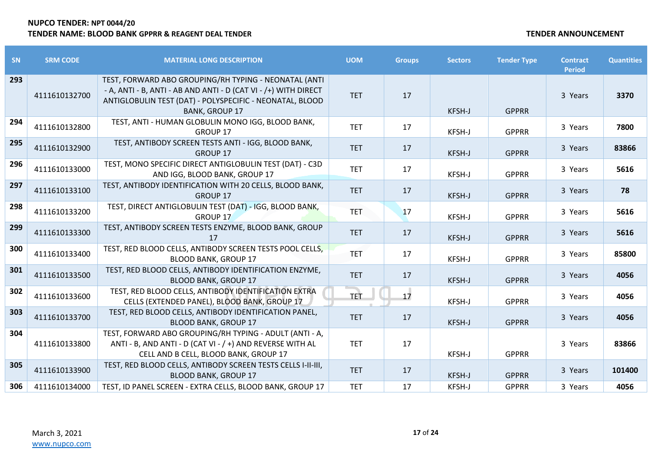| <b>SN</b> | <b>SRM CODE</b> | <b>MATERIAL LONG DESCRIPTION</b>                                                                                                                                                                              | <b>UOM</b> | <b>Groups</b> | <b>Sectors</b> | <b>Tender Type</b> | <b>Contract</b><br><b>Period</b> | <b>Quantities</b> |
|-----------|-----------------|---------------------------------------------------------------------------------------------------------------------------------------------------------------------------------------------------------------|------------|---------------|----------------|--------------------|----------------------------------|-------------------|
| 293       | 4111610132700   | TEST, FORWARD ABO GROUPING/RH TYPING - NEONATAL (ANTI<br>- A, ANTI - B, ANTI - AB AND ANTI - D (CAT VI - /+) WITH DIRECT<br>ANTIGLOBULIN TEST (DAT) - POLYSPECIFIC - NEONATAL, BLOOD<br><b>BANK, GROUP 17</b> | <b>TET</b> | 17            | KFSH-J         | <b>GPPRR</b>       | 3 Years                          | 3370              |
| 294       | 4111610132800   | TEST, ANTI - HUMAN GLOBULIN MONO IGG, BLOOD BANK,<br>GROUP 17                                                                                                                                                 | <b>TET</b> | 17            | KFSH-J         | <b>GPPRR</b>       | 3 Years                          | 7800              |
| 295       | 4111610132900   | TEST, ANTIBODY SCREEN TESTS ANTI - IGG, BLOOD BANK,<br><b>GROUP 17</b>                                                                                                                                        | <b>TET</b> | 17            | KFSH-J         | <b>GPPRR</b>       | 3 Years                          | 83866             |
| 296       | 4111610133000   | TEST, MONO SPECIFIC DIRECT ANTIGLOBULIN TEST (DAT) - C3D<br>AND IGG, BLOOD BANK, GROUP 17                                                                                                                     | <b>TET</b> | 17            | KFSH-J         | <b>GPPRR</b>       | 3 Years                          | 5616              |
| 297       | 4111610133100   | TEST, ANTIBODY IDENTIFICATION WITH 20 CELLS, BLOOD BANK,<br>GROUP 17                                                                                                                                          | <b>TET</b> | 17            | KFSH-J         | <b>GPPRR</b>       | 3 Years                          | 78                |
| 298       | 4111610133200   | TEST, DIRECT ANTIGLOBULIN TEST (DAT) - IGG, BLOOD BANK,<br><b>GROUP 17</b>                                                                                                                                    | <b>TET</b> | 17            | KFSH-J         | <b>GPPRR</b>       | 3 Years                          | 5616              |
| 299       | 4111610133300   | TEST, ANTIBODY SCREEN TESTS ENZYME, BLOOD BANK, GROUP<br>17                                                                                                                                                   | <b>TET</b> | 17            | KFSH-J         | <b>GPPRR</b>       | 3 Years                          | 5616              |
| 300       | 4111610133400   | TEST, RED BLOOD CELLS, ANTIBODY SCREEN TESTS POOL CELLS,<br><b>BLOOD BANK, GROUP 17</b>                                                                                                                       | <b>TET</b> | 17            | KFSH-J         | <b>GPPRR</b>       | 3 Years                          | 85800             |
| 301       | 4111610133500   | TEST, RED BLOOD CELLS, ANTIBODY IDENTIFICATION ENZYME,<br><b>BLOOD BANK, GROUP 17</b>                                                                                                                         | <b>TET</b> | 17            | KFSH-J         | <b>GPPRR</b>       | 3 Years                          | 4056              |
| 302       | 4111610133600   | TEST, RED BLOOD CELLS, ANTIBODY IDENTIFICATION EXTRA<br>CELLS (EXTENDED PANEL), BLOOD BANK, GROUP 17                                                                                                          | <b>TET</b> | 17            | KFSH-J         | <b>GPPRR</b>       | 3 Years                          | 4056              |
| 303       | 4111610133700   | TEST, RED BLOOD CELLS, ANTIBODY IDENTIFICATION PANEL,<br><b>BLOOD BANK, GROUP 17</b>                                                                                                                          | <b>TET</b> | 17            | KFSH-J         | <b>GPPRR</b>       | 3 Years                          | 4056              |
| 304       | 4111610133800   | TEST, FORWARD ABO GROUPING/RH TYPING - ADULT (ANTI - A,<br>ANTI - B, AND ANTI - D (CAT VI - / +) AND REVERSE WITH AL<br>CELL AND B CELL, BLOOD BANK, GROUP 17                                                 | <b>TET</b> | 17            | KFSH-J         | <b>GPPRR</b>       | 3 Years                          | 83866             |
| 305       | 4111610133900   | TEST, RED BLOOD CELLS, ANTIBODY SCREEN TESTS CELLS I-II-III,<br><b>BLOOD BANK, GROUP 17</b>                                                                                                                   | <b>TET</b> | 17            | KFSH-J         | <b>GPPRR</b>       | 3 Years                          | 101400            |
| 306       | 4111610134000   | TEST, ID PANEL SCREEN - EXTRA CELLS, BLOOD BANK, GROUP 17                                                                                                                                                     | <b>TET</b> | 17            | KFSH-J         | <b>GPPRR</b>       | 3 Years                          | 4056              |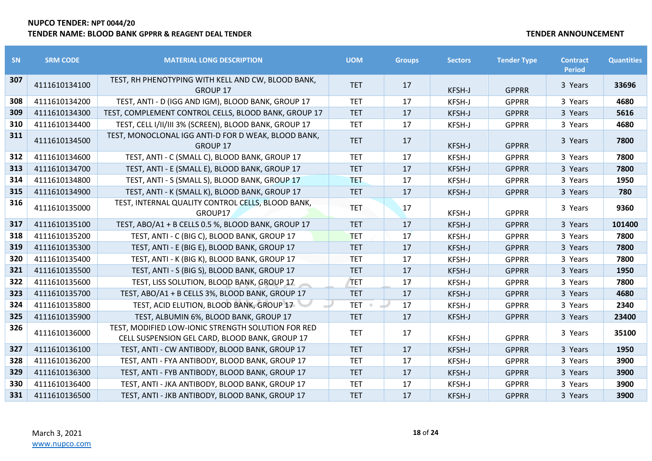| <b>SN</b> | <b>SRM CODE</b> | <b>MATERIAL LONG DESCRIPTION</b>                                                                     | <b>UOM</b> | <b>Groups</b> | <b>Sectors</b> | <b>Tender Type</b> | <b>Contract</b><br><b>Period</b> | <b>Quantities</b> |
|-----------|-----------------|------------------------------------------------------------------------------------------------------|------------|---------------|----------------|--------------------|----------------------------------|-------------------|
| 307       | 4111610134100   | TEST, RH PHENOTYPING WITH KELL AND CW, BLOOD BANK,<br><b>GROUP 17</b>                                | <b>TET</b> | 17            | <b>KFSH-J</b>  | <b>GPPRR</b>       | 3 Years                          | 33696             |
| 308       | 4111610134200   | TEST, ANTI - D (IGG AND IGM), BLOOD BANK, GROUP 17                                                   | <b>TET</b> | 17            | KFSH-J         | <b>GPPRR</b>       | 3 Years                          | 4680              |
| 309       | 4111610134300   | TEST, COMPLEMENT CONTROL CELLS, BLOOD BANK, GROUP 17                                                 | <b>TET</b> | 17            | KFSH-J         | <b>GPPRR</b>       | 3 Years                          | 5616              |
| 310       | 4111610134400   | TEST, CELL I/II/III 3% (SCREEN), BLOOD BANK, GROUP 17                                                | <b>TET</b> | 17            | KFSH-J         | <b>GPPRR</b>       | 3 Years                          | 4680              |
| 311       | 4111610134500   | TEST, MONOCLONAL IGG ANTI-D FOR D WEAK, BLOOD BANK,<br><b>GROUP 17</b>                               | <b>TET</b> | 17            | <b>KFSH-J</b>  | <b>GPPRR</b>       | 3 Years                          | 7800              |
| 312       | 4111610134600   | TEST, ANTI - C (SMALL C), BLOOD BANK, GROUP 17                                                       | <b>TET</b> | 17            | KFSH-J         | <b>GPPRR</b>       | 3 Years                          | 7800              |
| 313       | 4111610134700   | TEST, ANTI - E (SMALL E), BLOOD BANK, GROUP 17                                                       | <b>TET</b> | 17            | KFSH-J         | <b>GPPRR</b>       | 3 Years                          | 7800              |
| 314       | 4111610134800   | TEST, ANTI - S (SMALL S), BLOOD BANK, GROUP 17                                                       | <b>TET</b> | 17            | KFSH-J         | <b>GPPRR</b>       | 3 Years                          | 1950              |
| 315       | 4111610134900   | TEST, ANTI - K (SMALL K), BLOOD BANK, GROUP 17                                                       | <b>TET</b> | 17            | KFSH-J         | <b>GPPRR</b>       | 3 Years                          | 780               |
| 316       | 4111610135000   | TEST, INTERNAL QUALITY CONTROL CELLS, BLOOD BANK,<br>GROUP17                                         | <b>TET</b> | 17            | KFSH-J         | <b>GPPRR</b>       | 3 Years                          | 9360              |
| 317       | 4111610135100   | TEST, ABO/A1 + B CELLS 0.5 %, BLOOD BANK, GROUP 17                                                   | <b>TET</b> | 17            | KFSH-J         | <b>GPPRR</b>       | 3 Years                          | 101400            |
| 318       | 4111610135200   | TEST, ANTI - C (BIG C), BLOOD BANK, GROUP 17                                                         | <b>TET</b> | 17            | KFSH-J         | <b>GPPRR</b>       | 3 Years                          | 7800              |
| 319       | 4111610135300   | TEST, ANTI - E (BIG E), BLOOD BANK, GROUP 17                                                         | <b>TET</b> | 17            | <b>KFSH-J</b>  | <b>GPPRR</b>       | 3 Years                          | 7800              |
| 320       | 4111610135400   | TEST, ANTI - K (BIG K), BLOOD BANK, GROUP 17                                                         | <b>TET</b> | 17            | KFSH-J         | <b>GPPRR</b>       | 3 Years                          | 7800              |
| 321       | 4111610135500   | TEST, ANTI - S (BIG S), BLOOD BANK, GROUP 17                                                         | <b>TET</b> | 17            | <b>KFSH-J</b>  | <b>GPPRR</b>       | 3 Years                          | 1950              |
| 322       | 4111610135600   | TEST, LISS SOLUTION, BLOOD BANK, GROUP 17                                                            | <b>TET</b> | 17            | KFSH-J         | <b>GPPRR</b>       | 3 Years                          | 7800              |
| 323       | 4111610135700   | TEST, ABO/A1 + B CELLS 3%, BLOOD BANK, GROUP 17                                                      | <b>TET</b> | 17            | <b>KFSH-J</b>  | <b>GPPRR</b>       | 3 Years                          | 4680              |
| 324       | 4111610135800   | TEST, ACID ELUTION, BLOOD BANK, GROUP 17                                                             | <b>TET</b> | 17            | KFSH-J         | <b>GPPRR</b>       | 3 Years                          | 2340              |
| 325       | 4111610135900   | TEST, ALBUMIN 6%, BLOOD BANK, GROUP 17                                                               | <b>TET</b> | 17            | <b>KFSH-J</b>  | <b>GPPRR</b>       | 3 Years                          | 23400             |
| 326       | 4111610136000   | TEST, MODIFIED LOW-IONIC STRENGTH SOLUTION FOR RED<br>CELL SUSPENSION GEL CARD, BLOOD BANK, GROUP 17 | <b>TET</b> | 17            | <b>KFSH-J</b>  | <b>GPPRR</b>       | 3 Years                          | 35100             |
| 327       | 4111610136100   | TEST, ANTI - CW ANTIBODY, BLOOD BANK, GROUP 17                                                       | <b>TET</b> | 17            | <b>KFSH-J</b>  | <b>GPPRR</b>       | 3 Years                          | 1950              |
| 328       | 4111610136200   | TEST, ANTI - FYA ANTIBODY, BLOOD BANK, GROUP 17                                                      | <b>TET</b> | 17            | KFSH-J         | <b>GPPRR</b>       | 3 Years                          | 3900              |
| 329       | 4111610136300   | TEST, ANTI - FYB ANTIBODY, BLOOD BANK, GROUP 17                                                      | <b>TET</b> | 17            | <b>KFSH-J</b>  | <b>GPPRR</b>       | 3 Years                          | 3900              |
| 330       | 4111610136400   | TEST, ANTI - JKA ANTIBODY, BLOOD BANK, GROUP 17                                                      | <b>TET</b> | 17            | KFSH-J         | <b>GPPRR</b>       | 3 Years                          | 3900              |
| 331       | 4111610136500   | TEST, ANTI - JKB ANTIBODY, BLOOD BANK, GROUP 17                                                      | <b>TET</b> | 17            | <b>KFSH-J</b>  | <b>GPPRR</b>       | 3 Years                          | 3900              |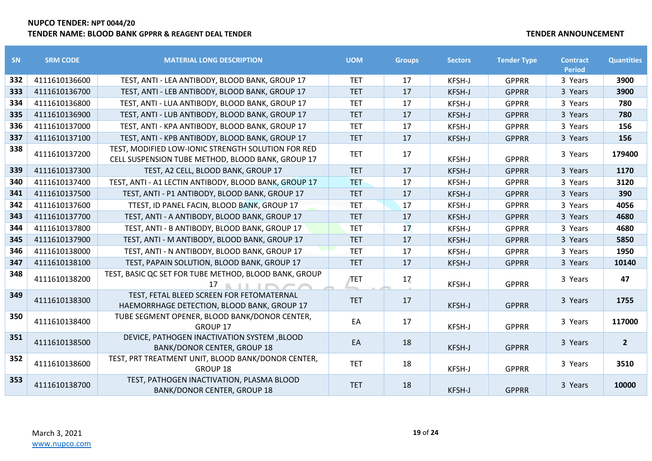| SN  | <b>SRM CODE</b> | <b>MATERIAL LONG DESCRIPTION</b>                                                                          | <b>UOM</b> | <b>Groups</b> | <b>Sectors</b> | <b>Tender Type</b> | <b>Contract</b><br><b>Period</b> | <b>Quantities</b> |
|-----|-----------------|-----------------------------------------------------------------------------------------------------------|------------|---------------|----------------|--------------------|----------------------------------|-------------------|
| 332 | 4111610136600   | TEST, ANTI - LEA ANTIBODY, BLOOD BANK, GROUP 17                                                           | <b>TET</b> | 17            | KFSH-J         | <b>GPPRR</b>       | 3 Years                          | 3900              |
| 333 | 4111610136700   | TEST, ANTI - LEB ANTIBODY, BLOOD BANK, GROUP 17                                                           | <b>TET</b> | 17            | KFSH-J         | <b>GPPRR</b>       | 3 Years                          | 3900              |
| 334 | 4111610136800   | TEST, ANTI - LUA ANTIBODY, BLOOD BANK, GROUP 17                                                           | <b>TET</b> | 17            | KFSH-J         | <b>GPPRR</b>       | 3 Years                          | 780               |
| 335 | 4111610136900   | TEST, ANTI - LUB ANTIBODY, BLOOD BANK, GROUP 17                                                           | <b>TET</b> | 17            | <b>KFSH-J</b>  | <b>GPPRR</b>       | 3 Years                          | 780               |
| 336 | 4111610137000   | TEST, ANTI - KPA ANTIBODY, BLOOD BANK, GROUP 17                                                           | <b>TET</b> | 17            | KFSH-J         | <b>GPPRR</b>       | 3 Years                          | 156               |
| 337 | 4111610137100   | TEST, ANTI - KPB ANTIBODY, BLOOD BANK, GROUP 17                                                           | <b>TET</b> | 17            | KFSH-J         | <b>GPPRR</b>       | 3 Years                          | 156               |
| 338 | 4111610137200   | TEST, MODIFIED LOW-IONIC STRENGTH SOLUTION FOR RED<br>CELL SUSPENSION TUBE METHOD, BLOOD BANK, GROUP 17   | <b>TET</b> | 17            | KFSH-J         | <b>GPPRR</b>       | 3 Years                          | 179400            |
| 339 | 4111610137300   | TEST, A2 CELL, BLOOD BANK, GROUP 17                                                                       | <b>TET</b> | 17            | KFSH-J         | <b>GPPRR</b>       | 3 Years                          | 1170              |
| 340 | 4111610137400   | TEST, ANTI - A1 LECTIN ANTIBODY, BLOOD BANK, GROUP 17                                                     | <b>TET</b> | 17            | KFSH-J         | <b>GPPRR</b>       | 3 Years                          | 3120              |
| 341 | 4111610137500   | TEST, ANTI - P1 ANTIBODY, BLOOD BANK, GROUP 17                                                            | <b>TET</b> | 17            | KFSH-J         | <b>GPPRR</b>       | 3 Years                          | 390               |
| 342 | 4111610137600   | TTEST, ID PANEL FACIN, BLOOD BANK, GROUP 17                                                               | <b>TET</b> | 17            | KFSH-J         | <b>GPPRR</b>       | 3 Years                          | 4056              |
| 343 | 4111610137700   | TEST, ANTI - A ANTIBODY, BLOOD BANK, GROUP 17                                                             | <b>TET</b> | 17            | KFSH-J         | <b>GPPRR</b>       | 3 Years                          | 4680              |
| 344 | 4111610137800   | TEST, ANTI - B ANTIBODY, BLOOD BANK, GROUP 17                                                             | <b>TET</b> | 17            | KFSH-J         | <b>GPPRR</b>       | 3 Years                          | 4680              |
| 345 | 4111610137900   | TEST, ANTI - M ANTIBODY, BLOOD BANK, GROUP 17                                                             | <b>TET</b> | 17            | <b>KFSH-J</b>  | <b>GPPRR</b>       | 3 Years                          | 5850              |
| 346 | 4111610138000   | TEST, ANTI - N ANTIBODY, BLOOD BANK, GROUP 17                                                             | <b>TET</b> | 17            | KFSH-J         | <b>GPPRR</b>       | 3 Years                          | 1950              |
| 347 | 4111610138100   | TEST, PAPAIN SOLUTION, BLOOD BANK, GROUP 17                                                               | <b>TET</b> | 17            | <b>KFSH-J</b>  | <b>GPPRR</b>       | 3 Years                          | 10140             |
| 348 | 4111610138200   | TEST, BASIC QC SET FOR TUBE METHOD, BLOOD BANK, GROUP<br>$17$ <b>A</b> $\parallel$ <b>I</b> $\cap$ $\cap$ | <b>TET</b> | 17            | KFSH-J         | <b>GPPRR</b>       | 3 Years                          | 47                |
| 349 | 4111610138300   | TEST, FETAL BLEED SCREEN FOR FETOMATERNAL<br>HAEMORRHAGE DETECTION, BLOOD BANK, GROUP 17                  | <b>TET</b> | 17            | <b>KFSH-J</b>  | <b>GPPRR</b>       | 3 Years                          | 1755              |
| 350 | 4111610138400   | TUBE SEGMENT OPENER, BLOOD BANK/DONOR CENTER,<br><b>GROUP 17</b>                                          | EA         | 17            | KFSH-J         | <b>GPPRR</b>       | 3 Years                          | 117000            |
| 351 | 4111610138500   | DEVICE, PATHOGEN INACTIVATION SYSTEM ,BLOOD<br><b>BANK/DONOR CENTER, GROUP 18</b>                         | EA         | 18            | KFSH-J         | <b>GPPRR</b>       | 3 Years                          | $\overline{2}$    |
| 352 | 4111610138600   | TEST, PRT TREATMENT UNIT, BLOOD BANK/DONOR CENTER,<br><b>GROUP 18</b>                                     | <b>TET</b> | 18            | KFSH-J         | <b>GPPRR</b>       | 3 Years                          | 3510              |
| 353 | 4111610138700   | TEST, PATHOGEN INACTIVATION, PLASMA BLOOD<br><b>BANK/DONOR CENTER, GROUP 18</b>                           | <b>TET</b> | 18            | KFSH-J         | <b>GPPRR</b>       | 3 Years                          | 10000             |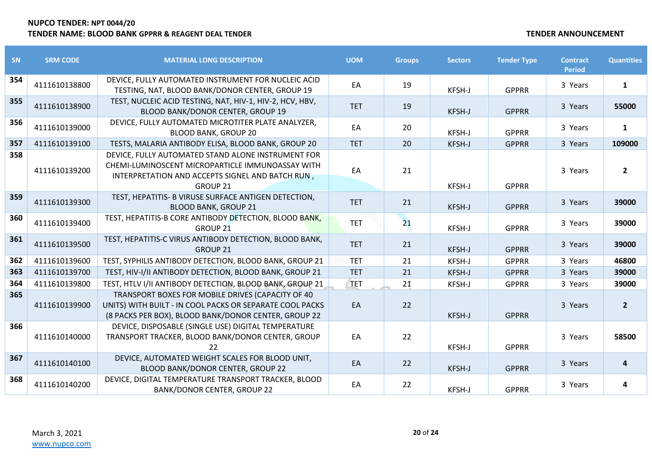| SN  | <b>SRM CODE</b> | <b>MATERIAL LONG DESCRIPTION</b>                                                                                                                                              | <b>UOM</b> | <b>Groups</b> | <b>Sectors</b> | <b>Tender Type</b> | <b>Contract</b><br><b>Period</b> | <b>Quantities</b> |
|-----|-----------------|-------------------------------------------------------------------------------------------------------------------------------------------------------------------------------|------------|---------------|----------------|--------------------|----------------------------------|-------------------|
| 354 | 4111610138800   | DEVICE, FULLY AUTOMATED INSTRUMENT FOR NUCLEIC ACID<br>TESTING, NAT, BLOOD BANK/DONOR CENTER, GROUP 19                                                                        | EA         | 19            | KFSH-J         | <b>GPPRR</b>       | 3 Years                          | $\mathbf{1}$      |
| 355 | 4111610138900   | TEST, NUCLEIC ACID TESTING, NAT, HIV-1, HIV-2, HCV, HBV,<br>BLOOD BANK/DONOR CENTER, GROUP 19                                                                                 | <b>TET</b> | 19            | KFSH-J         | <b>GPPRR</b>       | 3 Years                          | 55000             |
| 356 | 4111610139000   | DEVICE, FULLY AUTOMATED MICROTITER PLATE ANALYZER,<br><b>BLOOD BANK, GROUP 20</b>                                                                                             | EA         | 20            | KFSH-J         | <b>GPPRR</b>       | 3 Years                          | $\mathbf{1}$      |
| 357 | 4111610139100   | TESTS, MALARIA ANTIBODY ELISA, BLOOD BANK, GROUP 20                                                                                                                           | <b>TET</b> | 20            | KFSH-J         | <b>GPPRR</b>       | 3 Years                          | 109000            |
| 358 | 4111610139200   | DEVICE, FULLY AUTOMATED STAND ALONE INSTRUMENT FOR<br>CHEMI-LUMINOSCENT MICROPARTICLE IMMUNOASSAY WITH<br>INTERPRETATION AND ACCEPTS SIGNEL AND BATCH RUN,<br><b>GROUP 21</b> | EA         | 21            | KFSH-J         | <b>GPPRR</b>       | 3 Years                          | $\overline{2}$    |
| 359 | 4111610139300   | TEST, HEPATITIS- B VIRUSE SURFACE ANTIGEN DETECTION,<br><b>BLOOD BANK, GROUP 21</b>                                                                                           | <b>TET</b> | 21            | KFSH-J         | <b>GPPRR</b>       | 3 Years                          | 39000             |
| 360 | 4111610139400   | TEST, HEPATITIS-B CORE ANTIBODY DETECTION, BLOOD BANK,<br>GROUP <sub>21</sub>                                                                                                 | <b>TET</b> | 21            | KFSH-J         | <b>GPPRR</b>       | 3 Years                          | 39000             |
| 361 | 4111610139500   | TEST, HEPATITIS-C VIRUS ANTIBODY DETECTION, BLOOD BANK,<br><b>GROUP 21</b>                                                                                                    | <b>TET</b> | 21            | KFSH-J         | <b>GPPRR</b>       | 3 Years                          | 39000             |
| 362 | 4111610139600   | TEST, SYPHILIS ANTIBODY DETECTION, BLOOD BANK, GROUP 21                                                                                                                       | <b>TET</b> | 21            | KFSH-J         | <b>GPPRR</b>       | 3 Years                          | 46800             |
| 363 | 4111610139700   | TEST, HIV-I/II ANTIBODY DETECTION, BLOOD BANK, GROUP 21                                                                                                                       | <b>TET</b> | 21            | KFSH-J         | <b>GPPRR</b>       | 3 Years                          | 39000             |
| 364 | 4111610139800   | TEST, HTLV I/II ANTIBODY DETECTION, BLOOD BANK, GROUP 21                                                                                                                      | TET        | 21            | KFSH-J         | <b>GPPRR</b>       | 3 Years                          | 39000             |
| 365 | 4111610139900   | TRANSPORT BOXES FOR MOBILE DRIVES (CAPACITY OF 40<br>UNITS) WITH BUILT - IN COOL PACKS OR SEPARATE COOL PACKS<br>(8 PACKS PER BOX), BLOOD BANK/DONOR CENTER, GROUP 22         | EA         | 22            | KFSH-J         | <b>GPPRR</b>       | 3 Years                          | $\overline{2}$    |
| 366 | 4111610140000   | DEVICE, DISPOSABLE (SINGLE USE) DIGITAL TEMPERATURE<br>TRANSPORT TRACKER, BLOOD BANK/DONOR CENTER, GROUP<br>22                                                                | EA         | 22            | KFSH-J         | <b>GPPRR</b>       | 3 Years                          | 58500             |
| 367 | 4111610140100   | DEVICE, AUTOMATED WEIGHT SCALES FOR BLOOD UNIT,<br>BLOOD BANK/DONOR CENTER, GROUP 22                                                                                          | EA         | 22            | KFSH-J         | <b>GPPRR</b>       | 3 Years                          | 4                 |
| 368 | 4111610140200   | DEVICE, DIGITAL TEMPERATURE TRANSPORT TRACKER, BLOOD<br><b>BANK/DONOR CENTER, GROUP 22</b>                                                                                    | EA         | 22            | KFSH-J         | <b>GPPRR</b>       | 3 Years                          | 4                 |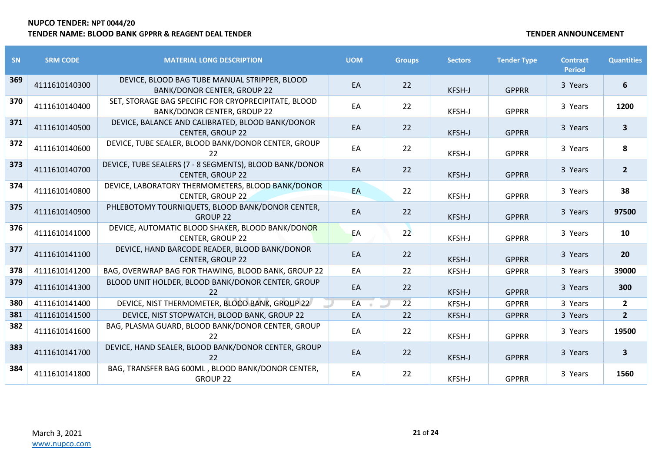| <b>SN</b> | <b>SRM CODE</b> | <b>MATERIAL LONG DESCRIPTION</b>                                                           | <b>UOM</b> | <b>Groups</b>   | <b>Sectors</b> | <b>Tender Type</b> | <b>Contract</b><br><b>Period</b> | <b>Quantities</b> |
|-----------|-----------------|--------------------------------------------------------------------------------------------|------------|-----------------|----------------|--------------------|----------------------------------|-------------------|
| 369       | 4111610140300   | DEVICE, BLOOD BAG TUBE MANUAL STRIPPER, BLOOD<br><b>BANK/DONOR CENTER, GROUP 22</b>        | EA         | 22              | KFSH-J         | <b>GPPRR</b>       | 3 Years                          | 6                 |
| 370       | 4111610140400   | SET, STORAGE BAG SPECIFIC FOR CRYOPRECIPITATE, BLOOD<br><b>BANK/DONOR CENTER, GROUP 22</b> | EA         | 22              | <b>KFSH-J</b>  | <b>GPPRR</b>       | 3 Years                          | 1200              |
| 371       | 4111610140500   | DEVICE, BALANCE AND CALIBRATED, BLOOD BANK/DONOR<br><b>CENTER, GROUP 22</b>                | EA         | 22              | KFSH-J         | <b>GPPRR</b>       | 3 Years                          | $\mathbf{3}$      |
| 372       | 4111610140600   | DEVICE, TUBE SEALER, BLOOD BANK/DONOR CENTER, GROUP<br>22                                  | EA         | 22              | KFSH-J         | <b>GPPRR</b>       | 3 Years                          | 8                 |
| 373       | 4111610140700   | DEVICE, TUBE SEALERS (7 - 8 SEGMENTS), BLOOD BANK/DONOR<br><b>CENTER, GROUP 22</b>         | EA         | 22              | KFSH-J         | <b>GPPRR</b>       | 3 Years                          | $\overline{2}$    |
| 374       | 4111610140800   | DEVICE, LABORATORY THERMOMETERS, BLOOD BANK/DONOR<br><b>CENTER, GROUP 22</b>               | EA         | 22              | KFSH-J         | <b>GPPRR</b>       | 3 Years                          | 38                |
| 375       | 4111610140900   | PHLEBOTOMY TOURNIQUETS, BLOOD BANK/DONOR CENTER,<br><b>GROUP 22</b>                        | EA         | 22              | KFSH-J         | <b>GPPRR</b>       | 3 Years                          | 97500             |
| 376       | 4111610141000   | DEVICE, AUTOMATIC BLOOD SHAKER, BLOOD BANK/DONOR<br><b>CENTER, GROUP 22</b>                | EA         | 22              | KFSH-J         | <b>GPPRR</b>       | 3 Years                          | 10                |
| 377       | 4111610141100   | DEVICE, HAND BARCODE READER, BLOOD BANK/DONOR<br><b>CENTER, GROUP 22</b>                   | EA         | 22              | KFSH-J         | <b>GPPRR</b>       | 3 Years                          | 20                |
| 378       | 4111610141200   | BAG, OVERWRAP BAG FOR THAWING, BLOOD BANK, GROUP 22                                        | EA         | 22              | KFSH-J         | <b>GPPRR</b>       | 3 Years                          | 39000             |
| 379       | 4111610141300   | BLOOD UNIT HOLDER, BLOOD BANK/DONOR CENTER, GROUP<br>22                                    | EA         | 22              | KFSH-J         | <b>GPPRR</b>       | 3 Years                          | 300               |
| 380       | 4111610141400   | DEVICE, NIST THERMOMETER, BLOOD BANK, GROUP 22                                             | EA         | $\overline{22}$ | KFSH-J         | <b>GPPRR</b>       | 3 Years                          | $\mathbf{2}$      |
| 381       | 4111610141500   | DEVICE, NIST STOPWATCH, BLOOD BANK, GROUP 22                                               | EA         | 22              | KFSH-J         | <b>GPPRR</b>       | 3 Years                          | $\overline{2}$    |
| 382       | 4111610141600   | BAG, PLASMA GUARD, BLOOD BANK/DONOR CENTER, GROUP<br>22                                    | EA         | 22              | KFSH-J         | <b>GPPRR</b>       | 3 Years                          | 19500             |
| 383       | 4111610141700   | DEVICE, HAND SEALER, BLOOD BANK/DONOR CENTER, GROUP<br>22                                  | EA         | 22              | KFSH-J         | <b>GPPRR</b>       | 3 Years                          | $\mathbf{3}$      |
| 384       | 4111610141800   | BAG, TRANSFER BAG 600ML, BLOOD BANK/DONOR CENTER,<br>GROUP 22                              | EA         | 22              | KFSH-J         | <b>GPPRR</b>       | 3 Years                          | 1560              |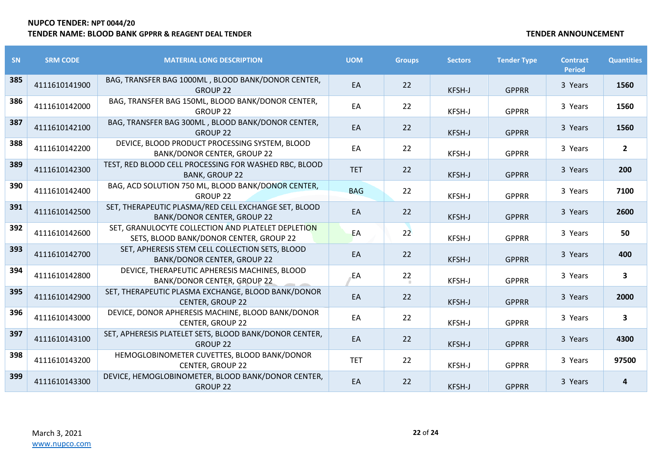| SN  | <b>SRM CODE</b> | <b>MATERIAL LONG DESCRIPTION</b>                                                              | <b>UOM</b> | <b>Groups</b> | <b>Sectors</b> | <b>Tender Type</b> | <b>Contract</b><br><b>Period</b> | <b>Quantities</b>       |
|-----|-----------------|-----------------------------------------------------------------------------------------------|------------|---------------|----------------|--------------------|----------------------------------|-------------------------|
| 385 | 4111610141900   | BAG, TRANSFER BAG 1000ML, BLOOD BANK/DONOR CENTER,<br><b>GROUP 22</b>                         | EA         | 22            | KFSH-J         | <b>GPPRR</b>       | 3 Years                          | 1560                    |
| 386 | 4111610142000   | BAG, TRANSFER BAG 150ML, BLOOD BANK/DONOR CENTER,<br><b>GROUP 22</b>                          | EA         | 22            | KFSH-J         | <b>GPPRR</b>       | 3 Years                          | 1560                    |
| 387 | 4111610142100   | BAG, TRANSFER BAG 300ML, BLOOD BANK/DONOR CENTER,<br><b>GROUP 22</b>                          | EA         | 22            | KFSH-J         | <b>GPPRR</b>       | 3 Years                          | 1560                    |
| 388 | 4111610142200   | DEVICE, BLOOD PRODUCT PROCESSING SYSTEM, BLOOD<br><b>BANK/DONOR CENTER, GROUP 22</b>          | EA         | 22            | KFSH-J         | <b>GPPRR</b>       | 3 Years                          | $\overline{2}$          |
| 389 | 4111610142300   | TEST, RED BLOOD CELL PROCESSING FOR WASHED RBC, BLOOD<br><b>BANK, GROUP 22</b>                | <b>TET</b> | 22            | KFSH-J         | <b>GPPRR</b>       | 3 Years                          | 200                     |
| 390 | 4111610142400   | BAG, ACD SOLUTION 750 ML, BLOOD BANK/DONOR CENTER,<br><b>GROUP 22</b>                         | <b>BAG</b> | 22            | KFSH-J         | <b>GPPRR</b>       | 3 Years                          | 7100                    |
| 391 | 4111610142500   | SET, THERAPEUTIC PLASMA/RED CELL EXCHANGE SET, BLOOD<br><b>BANK/DONOR CENTER, GROUP 22</b>    | EA         | 22            | KFSH-J         | <b>GPPRR</b>       | 3 Years                          | 2600                    |
| 392 | 4111610142600   | SET, GRANULOCYTE COLLECTION AND PLATELET DEPLETION<br>SETS, BLOOD BANK/DONOR CENTER, GROUP 22 | EA         | 22            | KFSH-J         | <b>GPPRR</b>       | 3 Years                          | 50                      |
| 393 | 4111610142700   | SET, APHERESIS STEM CELL COLLECTION SETS, BLOOD<br><b>BANK/DONOR CENTER, GROUP 22</b>         | EA         | 22            | KFSH-J         | <b>GPPRR</b>       | 3 Years                          | 400                     |
| 394 | 4111610142800   | DEVICE, THERAPEUTIC APHERESIS MACHINES, BLOOD<br><b>BANK/DONOR CENTER, GROUP 22</b>           | EA         | 22            | <b>KFSH-J</b>  | <b>GPPRR</b>       | 3 Years                          | 3                       |
| 395 | 4111610142900   | SET, THERAPEUTIC PLASMA EXCHANGE, BLOOD BANK/DONOR<br><b>CENTER, GROUP 22</b>                 | EA         | 22            | KFSH-J         | <b>GPPRR</b>       | 3 Years                          | 2000                    |
| 396 | 4111610143000   | DEVICE, DONOR APHERESIS MACHINE, BLOOD BANK/DONOR<br><b>CENTER, GROUP 22</b>                  | EA         | 22            | KFSH-J         | <b>GPPRR</b>       | 3 Years                          | $\overline{\mathbf{3}}$ |
| 397 | 4111610143100   | SET, APHERESIS PLATELET SETS, BLOOD BANK/DONOR CENTER,<br><b>GROUP 22</b>                     | EA         | 22            | KFSH-J         | <b>GPPRR</b>       | 3 Years                          | 4300                    |
| 398 | 4111610143200   | HEMOGLOBINOMETER CUVETTES, BLOOD BANK/DONOR<br><b>CENTER, GROUP 22</b>                        | <b>TET</b> | 22            | KFSH-J         | <b>GPPRR</b>       | 3 Years                          | 97500                   |
| 399 | 4111610143300   | DEVICE, HEMOGLOBINOMETER, BLOOD BANK/DONOR CENTER,<br><b>GROUP 22</b>                         | EA         | 22            | KFSH-J         | <b>GPPRR</b>       | 3 Years                          | 4                       |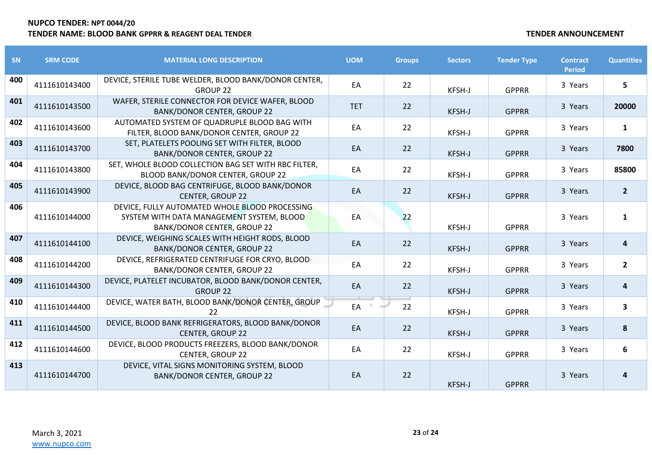| <b>SN</b> | <b>SRM CODE</b> | <b>MATERIAL LONG DESCRIPTION</b>                                                                                                  | <b>UOM</b> | <b>Groups</b> | <b>Sectors</b> | <b>Tender Type</b> | <b>Contract</b><br><b>Period</b> | <b>Quantities</b> |
|-----------|-----------------|-----------------------------------------------------------------------------------------------------------------------------------|------------|---------------|----------------|--------------------|----------------------------------|-------------------|
| 400       | 4111610143400   | DEVICE, STERILE TUBE WELDER, BLOOD BANK/DONOR CENTER,<br><b>GROUP 22</b>                                                          | EA         | 22            | KFSH-J         | <b>GPPRR</b>       | 3 Years                          | 5                 |
| 401       | 4111610143500   | WAFER, STERILE CONNECTOR FOR DEVICE WAFER, BLOOD<br><b>BANK/DONOR CENTER, GROUP 22</b>                                            | <b>TET</b> | 22            | KFSH-J         | <b>GPPRR</b>       | 3 Years                          | 20000             |
| 402       | 4111610143600   | AUTOMATED SYSTEM OF QUADRUPLE BLOOD BAG WITH<br>FILTER, BLOOD BANK/DONOR CENTER, GROUP 22                                         | EA         | 22            | KFSH-J         | <b>GPPRR</b>       | 3 Years                          | $\mathbf{1}$      |
| 403       | 4111610143700   | SET, PLATELETS POOLING SET WITH FILTER, BLOOD<br><b>BANK/DONOR CENTER, GROUP 22</b>                                               | EA         | 22            | KFSH-J         | <b>GPPRR</b>       | 3 Years                          | 7800              |
| 404       | 4111610143800   | SET, WHOLE BLOOD COLLECTION BAG SET WITH RBC FILTER,<br>BLOOD BANK/DONOR CENTER, GROUP 22                                         | EA         | 22            | KFSH-J         | <b>GPPRR</b>       | 3 Years                          | 85800             |
| 405       | 4111610143900   | DEVICE, BLOOD BAG CENTRIFUGE, BLOOD BANK/DONOR<br><b>CENTER, GROUP 22</b>                                                         | EA         | 22            | KFSH-J         | <b>GPPRR</b>       | 3 Years                          | $\overline{2}$    |
| 406       | 4111610144000   | DEVICE, FULLY AUTOMATED WHOLE BLOOD PROCESSING<br>SYSTEM WITH DATA MANAGEMENT SYSTEM, BLOOD<br><b>BANK/DONOR CENTER, GROUP 22</b> | EA         | 22            | KFSH-J         | <b>GPPRR</b>       | 3 Years                          | $\mathbf{1}$      |
| 407       | 4111610144100   | DEVICE, WEIGHING SCALES WITH HEIGHT RODS, BLOOD<br><b>BANK/DONOR CENTER, GROUP 22</b>                                             | EA         | 22            | KFSH-J         | <b>GPPRR</b>       | 3 Years                          | 4                 |
| 408       | 4111610144200   | DEVICE, REFRIGERATED CENTRIFUGE FOR CRYO, BLOOD<br><b>BANK/DONOR CENTER, GROUP 22</b>                                             | EA         | 22            | KFSH-J         | <b>GPPRR</b>       | 3 Years                          | $\overline{2}$    |
| 409       | 4111610144300   | DEVICE, PLATELET INCUBATOR, BLOOD BANK/DONOR CENTER,<br><b>GROUP 22</b>                                                           | EA         | 22            | KFSH-J         | <b>GPPRR</b>       | 3 Years                          | 4                 |
| 410       | 4111610144400   | DEVICE, WATER BATH, BLOOD BANK/DONOR CENTER, GROUP<br>22                                                                          | EA         | 22            | KFSH-J         | <b>GPPRR</b>       | 3 Years                          | $\mathbf{3}$      |
| 411       | 4111610144500   | DEVICE, BLOOD BANK REFRIGERATORS, BLOOD BANK/DONOR<br><b>CENTER, GROUP 22</b>                                                     | EA         | 22            | KFSH-J         | <b>GPPRR</b>       | 3 Years                          | 8                 |
| 412       | 4111610144600   | DEVICE, BLOOD PRODUCTS FREEZERS, BLOOD BANK/DONOR<br>CENTER, GROUP 22                                                             | EA         | 22            | KFSH-J         | <b>GPPRR</b>       | 3 Years                          | 6                 |
| 413       | 4111610144700   | DEVICE, VITAL SIGNS MONITORING SYSTEM, BLOOD<br><b>BANK/DONOR CENTER, GROUP 22</b>                                                | EA         | 22            | KFSH-J         | <b>GPPRR</b>       | 3 Years                          | 4                 |